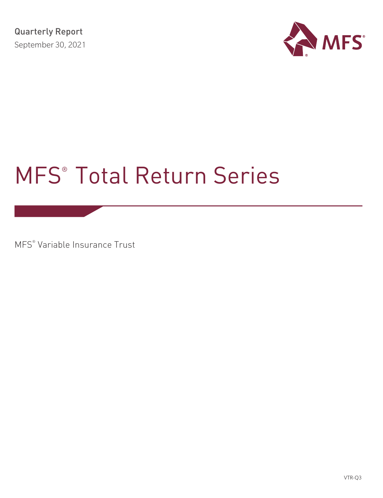

# MFS® Total Return Series

MFS® Variable Insurance Trust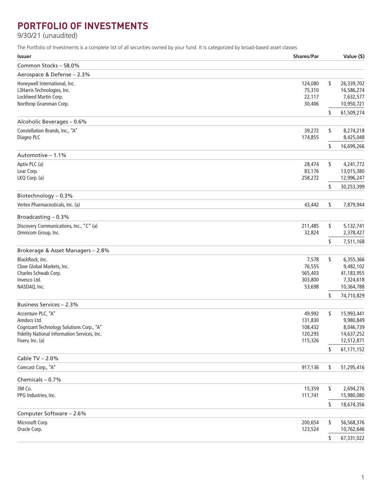# **PORTFOLIO OF INVESTMENTS**

9/30/21 (unaudited)

The Portfolio of Investments is a complete list of all securities owned by your fund. It is categorized by broad-based asset classes.

| <b>Issuer</b>                                | <b>Shares/Par</b> |    | Value (\$) |
|----------------------------------------------|-------------------|----|------------|
| Common Stocks - 58.0%                        |                   |    |            |
| Aerospace & Defense - 2.3%                   |                   |    |            |
| Honeywell International, Inc.                | 124,080           | \$ | 26,339,702 |
| L3Harris Technologies, Inc.                  | 75,310            |    | 16,586,274 |
| Lockheed Martin Corp.                        | 22,117            |    | 7,632,577  |
| Northrop Grumman Corp.                       | 30,406            |    | 10,950,721 |
|                                              |                   | \$ | 61,509,274 |
| Alcoholic Beverages - 0.6%                   |                   |    |            |
| Constellation Brands, Inc., "A"              | 39,272            | \$ | 8,274,218  |
| Diageo PLC                                   | 174,855           |    | 8,425,048  |
|                                              |                   | \$ | 16,699,266 |
| Automotive - 1.1%                            |                   |    |            |
| Aptiv PLC (a)                                | 28,474            | \$ | 4,241,772  |
| Lear Corp.                                   | 83,176            |    | 13,015,380 |
| LKQ Corp. (a)                                | 258,272           |    | 12,996,247 |
|                                              |                   | \$ | 30,253,399 |
| Biotechnology - 0.3%                         |                   |    |            |
| Vertex Pharmaceuticals, Inc. (a)             | 43,442            | \$ | 7,879,944  |
| Broadcasting $-0.3%$                         |                   |    |            |
| Discovery Communications, Inc., "C" (a)      | 211,485           | \$ | 5,132,741  |
| Omnicom Group, Inc.                          | 32,824            |    | 2,378,427  |
|                                              |                   | S  | 7,511,168  |
| Brokerage & Asset Managers - 2.8%            |                   |    |            |
| BlackRock, Inc.                              | 7,578             | \$ | 6,355,366  |
| Cboe Global Markets, Inc.                    | 76,555            |    | 9,482,102  |
| Charles Schwab Corp.                         | 565,403           |    | 41,183,955 |
| Invesco Ltd.                                 | 303,800           |    | 7,324,618  |
| NASDAQ, Inc.                                 | 53,698            |    | 10,364,788 |
|                                              |                   | \$ | 74,710,829 |
| Business Services - 2.3%                     |                   |    |            |
| Accenture PLC, "A"                           | 49,992            | \$ | 15,993,441 |
| Amdocs Ltd.                                  | 131,830           |    | 9,980,849  |
| Cognizant Technology Solutions Corp., "A"    | 108,432           |    | 8,046,739  |
| Fidelity National Information Services, Inc. | 120,293           |    | 14,637,252 |
| Fiserv, Inc. (a)                             | 115,326           |    | 12,512,871 |
|                                              |                   | \$ | 61,171,152 |
| Cable TV - 2.0%                              |                   |    |            |
| Comcast Corp., "A"                           | 917,136           | \$ | 51,295,416 |
| Chemicals - 0.7%                             |                   |    |            |
| 3M Co.                                       | 15,359            | \$ | 2,694,276  |
| PPG Industries, Inc.                         | 111,741           |    | 15,980,080 |
|                                              |                   | \$ | 18,674,356 |
| Computer Software - 2.6%                     |                   |    |            |
| Microsoft Corp.                              | 200,654           | \$ | 56,568,376 |
| Oracle Corp.                                 | 123,524           |    | 10,762,646 |
|                                              |                   | \$ | 67,331,022 |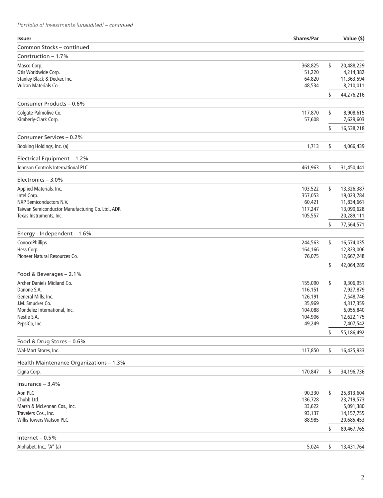| <b>Issuer</b>                                    | <b>Shares/Par</b> | Value (\$)               |
|--------------------------------------------------|-------------------|--------------------------|
| Common Stocks - continued                        |                   |                          |
| Construction - 1.7%                              |                   |                          |
| Masco Corp.                                      | 368,825           | \$<br>20,488,229         |
| Otis Worldwide Corp.                             | 51,220            | 4,214,382                |
| Stanley Black & Decker, Inc.                     | 64,820            | 11,363,594               |
| Vulcan Materials Co.                             | 48,534            | 8,210,011                |
|                                                  |                   | \$<br>44,276,216         |
| Consumer Products - 0.6%                         |                   |                          |
| Colgate-Palmolive Co.                            | 117,870           | \$<br>8,908,615          |
| Kimberly-Clark Corp.                             | 57,608            | 7,629,603                |
|                                                  |                   | \$<br>16,538,218         |
| Consumer Services - 0.2%                         |                   |                          |
| Booking Holdings, Inc. (a)                       | 1,713             | \$<br>4,066,439          |
| Electrical Equipment - 1.2%                      |                   |                          |
| Johnson Controls International PLC               | 461,963           | \$<br>31,450,441         |
|                                                  |                   |                          |
| Electronics - 3.0%                               |                   |                          |
| Applied Materials, Inc.                          | 103,522           | \$<br>13,326,387         |
| Intel Corp.<br>NXP Semiconductors N.V.           | 357,053<br>60,421 | 19,023,784<br>11,834,661 |
| Taiwan Semiconductor Manufacturing Co. Ltd., ADR | 117,247           | 13,090,628               |
| Texas Instruments, Inc.                          | 105,557           | 20,289,111               |
|                                                  |                   | \$<br>77,564,571         |
| Energy - Independent - 1.6%                      |                   |                          |
| ConocoPhillips                                   | 244,563           | \$<br>16,574,035         |
| Hess Corp.                                       | 164,166           | 12,823,006               |
| Pioneer Natural Resources Co.                    | 76,075            | 12,667,248               |
|                                                  |                   | \$<br>42,064,289         |
| Food & Beverages - 2.1%                          |                   |                          |
| Archer Daniels Midland Co.                       | 155,090           | \$<br>9,306,951          |
| Danone S.A.                                      | 116,151           | 7,927,879                |
| General Mills, Inc.                              | 126,191           | 7,548,746                |
| J.M. Smucker Co.                                 | 35,969            | 4,317,359                |
| Mondelez International, Inc.                     | 104,088           | 6,055,840                |
| Nestle S.A.                                      | 104,906           | 12,622,175               |
| PepsiCo, Inc.                                    | 49,249            | 7,407,542                |
|                                                  |                   | \$<br>55,186,492         |
| Food & Drug Stores - 0.6%                        |                   |                          |
| Wal-Mart Stores, Inc.                            | 117,850           | \$<br>16,425,933         |
| Health Maintenance Organizations - 1.3%          |                   |                          |
| Cigna Corp.                                      | 170,847           | \$<br>34,196,736         |
| Insurance $-3.4%$                                |                   |                          |
| Aon PLC                                          | 90,330            | \$<br>25,813,604         |
| Chubb Ltd.                                       | 136,728           | 23,719,573               |
| Marsh & McLennan Cos., Inc.                      | 33,622            | 5,091,380                |
| Travelers Cos., Inc.                             | 93,137            | 14,157,755               |
| <b>Willis Towers Watson PLC</b>                  | 88,985            | 20,685,453               |
|                                                  |                   | \$<br>89,467,765         |
| Internet $-0.5%$                                 |                   |                          |
| Alphabet, Inc., "A" (a)                          | 5,024             | \$<br>13,431,764         |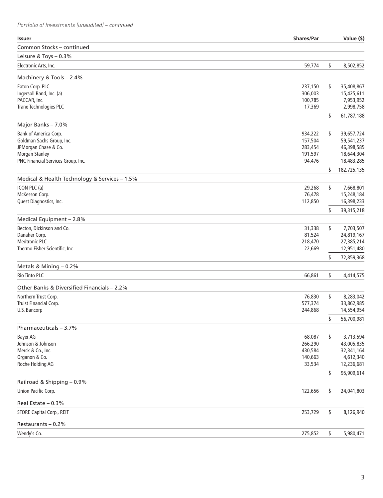| <b>Issuer</b>                                 | <b>Shares/Par</b>  | Value (\$)              |
|-----------------------------------------------|--------------------|-------------------------|
| Common Stocks - continued                     |                    |                         |
| Leisure & Toys - 0.3%                         |                    |                         |
| Electronic Arts, Inc.                         | 59,774             | \$<br>8,502,852         |
| Machinery & Tools - 2.4%                      |                    |                         |
| Eaton Corp. PLC                               | 237,150            | \$<br>35,408,867        |
| Ingersoll Rand, Inc. (a)                      | 306,003            | 15,425,611              |
| PACCAR, Inc.                                  | 100,785            | 7,953,952               |
| Trane Technologies PLC                        | 17,369             | 2,998,758               |
| Major Banks - 7.0%                            |                    | \$<br>61,787,188        |
| Bank of America Corp.                         | 934,222            | \$<br>39,657,724        |
| Goldman Sachs Group, Inc.                     | 157,504            | 59,541,237              |
| JPMorgan Chase & Co.                          | 283,454            | 46,398,585              |
| <b>Morgan Stanley</b>                         | 191,597            | 18,644,304              |
| PNC Financial Services Group, Inc.            | 94,476             | 18,483,285              |
|                                               |                    | \$<br>182,725,135       |
| Medical & Health Technology & Services - 1.5% |                    |                         |
| ICON PLC (a)                                  | 29,268             | \$<br>7,668,801         |
| McKesson Corp.                                | 76,478             | 15,248,184              |
| Quest Diagnostics, Inc.                       | 112,850            | 16,398,233              |
|                                               |                    | \$<br>39,315,218        |
| Medical Equipment - 2.8%                      |                    |                         |
| Becton, Dickinson and Co.                     | 31,338             | \$<br>7,703,507         |
| Danaher Corp.                                 | 81,524             | 24,819,167              |
| <b>Medtronic PLC</b>                          | 218,470            | 27,385,214              |
| Thermo Fisher Scientific, Inc.                | 22,669             | 12,951,480              |
|                                               |                    | \$<br>72,859,368        |
| Metals & Mining - 0.2%                        |                    |                         |
| <b>Rio Tinto PLC</b>                          | 66,861             | \$<br>4,414,575         |
| Other Banks & Diversified Financials - 2.2%   |                    |                         |
| Northern Trust Corp.                          | 76,830             | \$<br>8,283,042         |
| Truist Financial Corp.                        | 577,374            | 33,862,985              |
| U.S. Bancorp                                  | 244,868            | 14,554,954              |
|                                               |                    | \$<br>56,700,981        |
| Pharmaceuticals - 3.7%                        |                    |                         |
| <b>Bayer AG</b>                               | 68,087             | \$<br>3,713,594         |
| Johnson & Johnson<br>Merck & Co., Inc.        | 266,290            | 43,005,835              |
| Organon & Co.                                 | 430,584<br>140,663 | 32,341,164<br>4,612,340 |
| Roche Holding AG                              | 33,534             | 12,236,681              |
|                                               |                    | \$<br>95,909,614        |
| Railroad & Shipping - 0.9%                    |                    |                         |
| Union Pacific Corp.                           | 122,656            | \$<br>24,041,803        |
| Real Estate $-0.3%$                           |                    |                         |
| <b>STORE Capital Corp., REIT</b>              | 253,729            | \$<br>8,126,940         |
|                                               |                    |                         |
| Restaurants - 0.2%                            |                    |                         |
| Wendy's Co.                                   | 275,852            | \$<br>5,980,471         |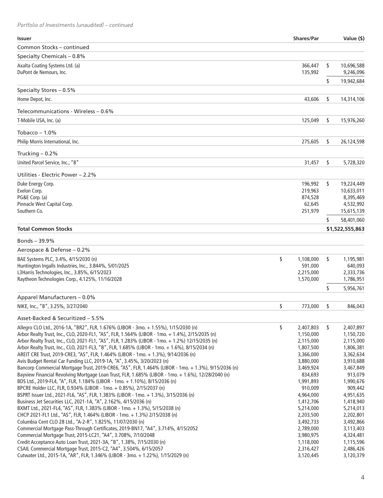| <b>Issuer</b>                                                                                        | <b>Shares/Par</b>      |    | Value (\$)               |
|------------------------------------------------------------------------------------------------------|------------------------|----|--------------------------|
| Common Stocks - continued                                                                            |                        |    |                          |
| Specialty Chemicals - 0.8%                                                                           |                        |    |                          |
| Axalta Coating Systems Ltd. (a)                                                                      | 366,447                | \$ | 10,696,588               |
| DuPont de Nemours, Inc.                                                                              | 135,992                |    | 9,246,096                |
|                                                                                                      |                        | \$ | 19,942,684               |
| Specialty Stores - 0.5%                                                                              |                        |    |                          |
| Home Depot, Inc.                                                                                     | 43,606                 | \$ | 14,314,106               |
| Telecommunications - Wireless – 0.6%                                                                 |                        |    |                          |
| T-Mobile USA, Inc. (a)                                                                               | 125,049                | \$ | 15,976,260               |
| Tobacco – $1.0\%$                                                                                    |                        |    |                          |
|                                                                                                      |                        |    |                          |
| Philip Morris International, Inc.                                                                    | 275,605                | \$ | 26,124,598               |
| Trucking $-0.2%$                                                                                     |                        |    |                          |
| United Parcel Service, Inc., "B"                                                                     | 31,457                 | \$ | 5,728,320                |
| Utilities - Electric Power - 2.2%                                                                    |                        |    |                          |
| Duke Energy Corp.                                                                                    | 196,992                | s. | 19,224,449               |
| Exelon Corp.                                                                                         | 219,963                |    | 10,633,011               |
| PG&E Corp. (a)                                                                                       | 874,528                |    | 8,395,469                |
| Pinnacle West Capital Corp.<br>Southern Co.                                                          | 62,645<br>251,979      |    | 4,532,992                |
|                                                                                                      |                        | \$ | 15,615,139<br>58,401,060 |
| Total Common Stocks                                                                                  |                        |    | \$1,522,555,863          |
|                                                                                                      |                        |    |                          |
| Bonds – 39.9%                                                                                        |                        |    |                          |
| Aerospace & Defense - 0.2%                                                                           |                        |    |                          |
| BAE Systems PLC, 3.4%, 4/15/2030 (n)                                                                 | \$<br>1,108,000        | \$ | 1,195,981                |
| Huntington Ingalls Industries, Inc., 3.844%, 5/01/2025                                               | 591,000                |    | 640,093                  |
| L3Harris Technologies, Inc., 3.85%, 6/15/2023<br>Raytheon Technologies Corp., 4.125%, 11/16/2028     | 2,215,000<br>1,570,000 |    | 2,333,736<br>1,786,951   |
|                                                                                                      |                        |    |                          |
| Apparel Manufacturers - 0.0%                                                                         |                        | S  | 5,956,761                |
| NIKE, Inc., "B", 3.25%, 3/27/2040                                                                    | \$<br>773,000          | S  | 846,043                  |
|                                                                                                      |                        |    |                          |
| Asset-Backed & Securitized – 5.5%                                                                    |                        |    |                          |
| Allegro CLO Ltd., 2016-1A, "BR2", FLR, 1.676% (LIBOR - 3mo. + 1.55%), 1/15/2030 (n)                  | \$<br>2,407,803        | \$ | 2,407,897                |
| Arbor Realty Trust, Inc., CLO, 2020-FL1, "AS", FLR, 1.564% (LIBOR - 1mo. + 1.4%), 2/15/2035 (n)      | 1,150,000              |    | 1,150,720                |
| Arbor Realty Trust, Inc., CLO, 2021-FL1, "AS", FLR, 1.283% (LIBOR - 1mo. + 1.2%) 12/15/2035 (n)      | 2,115,000              |    | 2,115,000                |
| Arbor Realty Trust, Inc., CLO, 2021-FL3, "B", FLR, 1.685% (LIBOR - 1mo. + 1.6%), 8/15/2034 (n)       | 1,807,500              |    | 1,806,381                |
| AREIT CRE Trust, 2019-CRE3, "AS", FLR, 1.464% (LIBOR - 1mo. + 1.3%), 9/14/2036 (n)                   | 3,366,000              |    | 3,362,634                |
| Avis Budget Rental Car Funding LLC, 2019-1A, "A", 3.45%, 3/20/2023 (n)                               | 3,880,000              |    | 3,910,688                |
| Bancorp Commercial Mortgage Trust, 2019-CRE6, "AS", FLR, 1.464% (LIBOR - 1mo. + 1.3%), 9/15/2036 (n) | 3,469,924              |    | 3,467,849                |
| Bayview Financial Revolving Mortgage Loan Trust, FLR, 1.685% (LIBOR - 1mo. + 1.6%), 12/28/2040 (n)   | 834,693                |    | 913,079                  |
| BDS Ltd., 2019-FL4, "A", FLR, 1.184% (LIBOR - 1mo. + 1.10%), 8/15/2036 (n)                           | 1,991,893              |    | 1,990,676                |
| BPCRE Holder LLC, FLR, 0.934% (LIBOR - 1mo. + 0.85%), 2/15/2037 (n)                                  | 910,009                |    | 909,442                  |
| BSPRT Issuer Ltd., 2021-FL6, "AS", FLR, 1.383% (LIBOR - 1mo. + 1.3%), 3/15/2036 (n)                  | 4,964,000              |    | 4,951,635                |
| Business Jet Securities LLC, 2021-1A, "A", 2.162%, 4/15/2036 (n)                                     | 1,412,706              |    | 1,418,940                |
| BXMT Ltd., 2021-FL4, "AS", FLR, 1.383% (LIBOR - 1mo. + 1.3%), 5/15/2038 (n)                          | 5,214,000              |    | 5,214,013                |
| CHCP 2021-FL1 Ltd., "AS", FLR, 1.464% (LIBOR - 1mo. + 1.3%) 2/15/2038 (n)                            | 2,203,500              |    | 2,202,801                |
| Columbia Cent CLO 28 Ltd., "A-2-R", 1.825%, 11/07/2030 (n)                                           | 3,492,733              |    | 3,492,866                |
| Commercial Mortgage Pass-Through Certificates, 2019-BN17, "A4", 3.714%, 4/15/2052                    | 2,789,000              |    | 3,113,403                |
| Commercial Mortgage Trust, 2015-LC21, "A4", 3.708%, 7/10/2048                                        | 3,980,975              |    | 4,324,481                |
| Credit Acceptance Auto Loan Trust, 2021-3A, "B", 1.38%, 7/15/2030 (n)                                | 1,118,000              |    | 1,115,596                |
| CSAIL Commercial Mortgage Trust, 2015-C2, "A4", 3.504%, 6/15/2057                                    | 2,316,427              |    | 2,486,426                |
| Cutwater Ltd., 2015-1A, "AR", FLR, 1.346% (LIBOR - 3mo. + 1.22%), 1/15/2029 (n)                      | 3,120,445              |    | 3,120,379                |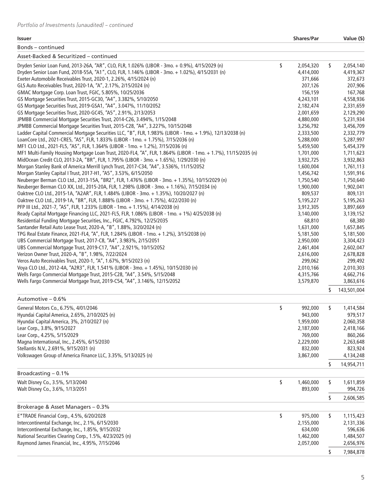#### **Issuer Shares/Par Value (\$)**

Bonds – continued

| Bonds – continued                                                                                              |                 |    |             |
|----------------------------------------------------------------------------------------------------------------|-----------------|----|-------------|
| Asset-Backed & Securitized - continued                                                                         |                 |    |             |
| Dryden Senior Loan Fund, 2013-26A, "AR", CLO, FLR, 1.026% (LIBOR - 3mo. + 0.9%), 4/15/2029 (n)                 | \$<br>2,054,320 | \$ | 2,054,140   |
| Dryden Senior Loan Fund, 2018-55A, "A1", CLO, FLR, 1.146% (LIBOR - 3mo. + 1.02%), 4/15/2031 (n)                | 4,414,000       |    | 4,419,367   |
| Exeter Automobile Receivables Trust, 2020-1, 2.26%, 4/15/2024 (n)                                              | 371,666         |    | 372,673     |
| GLS Auto Receivables Trust, 2020-1A, "A", 2.17%, 2/15/2024 (n)                                                 | 207,126         |    | 207,906     |
| GMAC Mortgage Corp. Loan Trust, FGIC, 5.805%, 10/25/2036                                                       | 156,159         |    | 167,768     |
| GS Mortgage Securities Trust, 2015-GC30, "A4", 3.382%, 5/10/2050                                               | 4,243,101       |    | 4,558,936   |
| GS Mortgage Securities Trust, 2019-GSA1, "A4", 3.047%, 11/10/2052                                              | 2,182,474       |    | 2,331,659   |
| GS Mortgage Securities Trust, 2020-GC45, "A5", 2.91%, 2/13/2053                                                | 2,001,659       |    | 2,129,290   |
| JPMBB Commercial Mortgage Securities Trust, 2014-C26, 3.494%, 1/15/2048                                        | 4,880,000       |    | 5,231,934   |
| JPMBB Commercial Mortgage Securities Trust, 2015-C28, "A4", 3.227%, 10/15/2048                                 | 3,256,792       |    | 3,456,709   |
| Ladder Capital Commercial Mortgage Securities LLC, "B", FLR, 1.983% (LIBOR - 1mo. + 1.9%), 12/13/2038 (n)      | 2,333,500       |    | 2,332,779   |
| LoanCore Ltd., 2021-CRE5, "AS", FLR, 1.833% (LIBOR - 1mo. + 1.75%), 7/15/2036 (n)                              | 5,288,000       |    | 5,287,997   |
| MF1 CLO Ltd., 2021-FL5, "AS", FLR, 1.364% (LIBOR - 1mo. + 1.2%), 7/15/2036 (n)                                 | 5,459,500       |    | 5,454,379   |
| MF1 Multi-Family Housing Mortgage Loan Trust, 2020-FL4, "A", FLR, 1.864% (LIBOR - 1mo. + 1.7%), 11/15/2035 (n) | 1,701,000       |    | 1,711,623   |
| MidOcean Credit CLO, 2013-2A, "BR", FLR, 1.795% (LIBOR - 3mo. + 1.65%), 1/29/2030 (n)                          | 3,932,725       |    | 3,932,863   |
| Morgan Stanley Bank of America Merrill Lynch Trust, 2017-C34, "A4", 3.536%, 11/15/2052                         | 1,600,004       |    | 1,761,113   |
| Morgan Stanley Capital I Trust, 2017-H1, "A5", 3.53%, 6/15/2050                                                | 1,456,742       |    | 1,591,916   |
| Neuberger Berman CLO Ltd., 2013-15A, "BR2", FLR, 1.476% (LIBOR - 3mo. + 1.35%), 10/15/2029 (n)                 | 1,750,540       |    | 1,750,640   |
| Neuberger Berman CLO XX, Ltd., 2015-20A, FLR, 1.298% (LIBOR - 3mo. + 1.16%), 7/15/2034 (n)                     | 1,900,000       |    | 1,902,041   |
| Oaktree CLO Ltd., 2015-1A, "A2AR", FLR, 1.484% (LIBOR - 3mo. + 1.35%), 10/20/2027 (n)                          | 809,537         |    | 809,131     |
| Oaktree CLO Ltd., 2019-1A, "BR", FLR, 1.888% (LIBOR - 3mo. + 1.75%), 4/22/2030 (n)                             | 5,195,227       |    | 5,195,263   |
| PFP III Ltd., 2021-7, "AS", FLR, 1.233% (LIBOR - 1mo. + 1.15%), 4/14/2038 (n)                                  | 3,912,305       |    | 3,897,669   |
| Ready Capital Mortgage Financing LLC, 2021-FL5, FLR, 1.086% (LIBOR - 1mo. + 1%) 4/25/2038 (n)                  | 3,140,000       |    | 3,139,152   |
| Residential Funding Mortgage Securities, Inc., FGIC, 4.792%, 12/25/2035                                        | 68,810          |    | 68,380      |
| Santander Retail Auto Lease Trust, 2020-A, "B", 1.88%, 3/20/2024 (n)                                           | 1,631,000       |    | 1,657,845   |
| TPG Real Estate Finance, 2021-FL4, "A", FLR, 1.284% (LIBOR - 1mo. + 1.2%), 3/15/2038 (n)                       | 5,181,500       |    | 5,181,500   |
| UBS Commercial Mortgage Trust, 2017-C8, "A4", 3.983%, 2/15/2051                                                | 2,950,000       |    | 3,304,423   |
| UBS Commercial Mortgage Trust, 2019-C17, "A4", 2.921%, 10/15/2052                                              | 2,461,404       |    | 2,602,047   |
| Verizon Owner Trust, 2020-A, "B", 1.98%, 7/22/2024                                                             | 2,616,000       |    | 2,678,828   |
| Veros Auto Receivables Trust, 2020-1, "A", 1.67%, 9/15/2023 (n)                                                | 299,062         |    | 299,492     |
| Voya CLO Ltd., 2012-4A, "A2R3", FLR, 1.541% (LIBOR - 3mo. + 1.45%), 10/15/2030 (n)                             | 2,010,166       |    | 2,010,303   |
| Wells Fargo Commercial Mortgage Trust, 2015-C28, "A4", 3.54%, 5/15/2048                                        | 4,315,766       |    | 4,662,716   |
| Wells Fargo Commercial Mortgage Trust, 2019-C54, "A4", 3.146%, 12/15/2052                                      | 3,579,870       |    | 3,863,616   |
|                                                                                                                |                 | S  | 143,501,004 |
| Automotive - 0.6%                                                                                              |                 |    |             |
| General Motors Co., 6.75%, 4/01/2046                                                                           | \$<br>992,000   | \$ | 1,414,584   |
| Hyundai Capital America, 2.65%, 2/10/2025 (n)                                                                  | 943,000         |    | 979,517     |
| Hyundai Capital America, 3%, 2/10/2027 (n)                                                                     | 1,959,000       |    | 2,060,358   |
| Lear Corp., 3.8%, 9/15/2027                                                                                    | 2,187,000       |    | 2,418,166   |
| Lear Corp., 4.25%, 5/15/2029                                                                                   | 769,000         |    | 860,266     |
| Magna International, Inc., 2.45%, 6/15/2030                                                                    | 2,229,000       |    | 2,263,648   |
| Stellantis N.V., 2.691%, 9/15/2031 (n)                                                                         | 832,000         |    | 823,924     |
| Volkswagen Group of America Finance LLC, 3.35%, 5/13/2025 (n)                                                  | 3,867,000       |    | 4,134,248   |
|                                                                                                                |                 | \$ | 14,954,711  |
| Broadcasting $-0.1%$                                                                                           |                 |    |             |
| Walt Disney Co., 3.5%, 5/13/2040                                                                               | \$<br>1,460,000 | \$ | 1,611,859   |
| Walt Disney Co., 3.6%, 1/13/2051                                                                               | 893,000         |    | 994,726     |
|                                                                                                                |                 | \$ | 2,606,585   |
| Brokerage & Asset Managers - 0.3%                                                                              |                 |    |             |
| E*TRADE Financial Corp., 4.5%, 6/20/2028                                                                       | \$<br>975,000   | \$ | 1,115,423   |
| Intercontinental Exchange, Inc., 2.1%, 6/15/2030                                                               | 2,155,000       |    | 2,131,336   |
| Intercontinental Exchange, Inc., 1.85%, 9/15/2032                                                              | 634,000         |    | 596,636     |
| National Securities Clearing Corp., 1.5%, 4/23/2025 (n)                                                        | 1,462,000       |    | 1,484,507   |
| Raymond James Financial, Inc., 4.95%, 7/15/2046                                                                | 2,057,000       |    | 2,656,976   |
|                                                                                                                |                 |    |             |
|                                                                                                                |                 | \$ | 7,984,878   |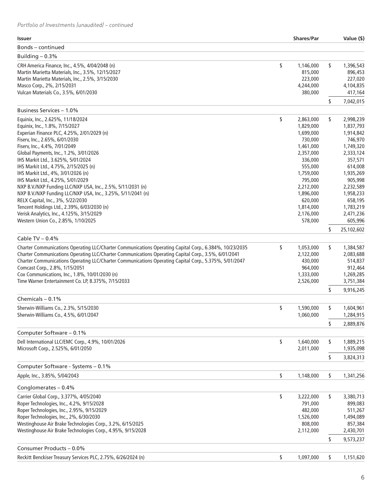| <b>Issuer</b>                                                                                                                                                                                                                                                                                                                                                                                                                                                                                                                                                                                                                                                                                   | <b>Shares/Par</b>                                                                                                                                                                                      |          | Value (\$)                                                                                                                                                                                       |
|-------------------------------------------------------------------------------------------------------------------------------------------------------------------------------------------------------------------------------------------------------------------------------------------------------------------------------------------------------------------------------------------------------------------------------------------------------------------------------------------------------------------------------------------------------------------------------------------------------------------------------------------------------------------------------------------------|--------------------------------------------------------------------------------------------------------------------------------------------------------------------------------------------------------|----------|--------------------------------------------------------------------------------------------------------------------------------------------------------------------------------------------------|
| Bonds - continued                                                                                                                                                                                                                                                                                                                                                                                                                                                                                                                                                                                                                                                                               |                                                                                                                                                                                                        |          |                                                                                                                                                                                                  |
| Building $-0.3%$                                                                                                                                                                                                                                                                                                                                                                                                                                                                                                                                                                                                                                                                                |                                                                                                                                                                                                        |          |                                                                                                                                                                                                  |
| CRH America Finance, Inc., 4.5%, 4/04/2048 (n)<br>Martin Marietta Materials, Inc., 3.5%, 12/15/2027<br>Martin Marietta Materials, Inc., 2.5%, 3/15/2030<br>Masco Corp., 2%, 2/15/2031<br>Vulcan Materials Co., 3.5%, 6/01/2030                                                                                                                                                                                                                                                                                                                                                                                                                                                                  | \$<br>1,146,000<br>815,000<br>223,000<br>4,244,000<br>380,000                                                                                                                                          | \$       | 1,396,543<br>896,453<br>227,020<br>4,104,835<br>417,164                                                                                                                                          |
|                                                                                                                                                                                                                                                                                                                                                                                                                                                                                                                                                                                                                                                                                                 |                                                                                                                                                                                                        | \$       | 7,042,015                                                                                                                                                                                        |
| Business Services - 1.0%                                                                                                                                                                                                                                                                                                                                                                                                                                                                                                                                                                                                                                                                        |                                                                                                                                                                                                        |          |                                                                                                                                                                                                  |
| Equinix, Inc., 2.625%, 11/18/2024<br>Equinix, Inc., 1.8%, 7/15/2027<br>Experian Finance PLC, 4.25%, 2/01/2029 (n)<br>Fiserv, Inc., 2.65%, 6/01/2030<br>Fiserv, Inc., 4.4%, 7/01/2049<br>Global Payments, Inc., 1.2%, 3/01/2026<br>IHS Markit Ltd., 3.625%, 5/01/2024<br>IHS Markit Ltd., 4.75%, 2/15/2025 (n)<br>IHS Markit Ltd., 4%, 3/01/2026 (n)<br>IHS Markit Ltd., 4.25%, 5/01/2029<br>NXP B.V./NXP Funding LLC/NXP USA, Inc., 2.5%, 5/11/2031 (n)<br>NXP B.V./NXP Funding LLC/NXP USA, Inc., 3.25%, 5/11/2041 (n)<br>RELX Capital, Inc., 3%, 5/22/2030<br>Tencent Holdings Ltd., 2.39%, 6/03/2030 (n)<br>Verisk Analytics, Inc., 4.125%, 3/15/2029<br>Western Union Co., 2.85%, 1/10/2025 | \$<br>2,863,000<br>1,829,000<br>1,699,000<br>730,000<br>1,461,000<br>2,357,000<br>336,000<br>555,000<br>1,759,000<br>795,000<br>2,212,000<br>1,896,000<br>620,000<br>1,814,000<br>2,176,000<br>578,000 | \$       | 2,998,239<br>1,837,793<br>1,914,842<br>746,970<br>1,749,320<br>2,333,124<br>357,571<br>614,008<br>1,935,269<br>905,998<br>2,232,589<br>1,958,233<br>658,195<br>1,783,219<br>2,471,236<br>605,996 |
|                                                                                                                                                                                                                                                                                                                                                                                                                                                                                                                                                                                                                                                                                                 |                                                                                                                                                                                                        | \$       | 25,102,602                                                                                                                                                                                       |
| Cable TV $-0.4%$                                                                                                                                                                                                                                                                                                                                                                                                                                                                                                                                                                                                                                                                                |                                                                                                                                                                                                        |          |                                                                                                                                                                                                  |
| Charter Communications Operating LLC/Charter Communications Operating Capital Corp., 6.384%, 10/23/2035<br>Charter Communications Operating LLC/Charter Communications Operating Capital Corp., 3.5%, 6/01/2041<br>Charter Communications Operating LLC/Charter Communications Operating Capital Corp., 5.375%, 5/01/2047<br>Comcast Corp., 2.8%, 1/15/2051<br>Cox Communications, Inc., 1.8%, 10/01/2030 (n)<br>Time Warner Entertainment Co. LP, 8.375%, 7/15/2033                                                                                                                                                                                                                            | \$<br>1,053,000<br>2,122,000<br>430,000<br>964,000<br>1,333,000<br>2,526,000                                                                                                                           | \$<br>s  | 1,384,587<br>2,083,688<br>514,837<br>912,464<br>1,269,285<br>3,751,384<br>9,916,245                                                                                                              |
| Chemicals $-0.1%$                                                                                                                                                                                                                                                                                                                                                                                                                                                                                                                                                                                                                                                                               |                                                                                                                                                                                                        |          |                                                                                                                                                                                                  |
| Sherwin-Williams Co., 2.3%, 5/15/2030<br>Sherwin-Williams Co., 4.5%, 6/01/2047                                                                                                                                                                                                                                                                                                                                                                                                                                                                                                                                                                                                                  | \$<br>1,590,000<br>1,060,000                                                                                                                                                                           | \$<br>\$ | 1,604,961<br>1,284,915<br>2,889,876                                                                                                                                                              |
| Computer Software - 0.1%                                                                                                                                                                                                                                                                                                                                                                                                                                                                                                                                                                                                                                                                        |                                                                                                                                                                                                        |          |                                                                                                                                                                                                  |
| Dell International LLC/EMC Corp., 4.9%, 10/01/2026<br>Microsoft Corp., 2.525%, 6/01/2050                                                                                                                                                                                                                                                                                                                                                                                                                                                                                                                                                                                                        | \$<br>1,640,000<br>2,011,000                                                                                                                                                                           | \$       | 1,889,215<br>1,935,098                                                                                                                                                                           |
|                                                                                                                                                                                                                                                                                                                                                                                                                                                                                                                                                                                                                                                                                                 |                                                                                                                                                                                                        | \$       | 3,824,313                                                                                                                                                                                        |
| Computer Software - Systems - 0.1%                                                                                                                                                                                                                                                                                                                                                                                                                                                                                                                                                                                                                                                              |                                                                                                                                                                                                        |          |                                                                                                                                                                                                  |
| Apple, Inc., 3.85%, 5/04/2043                                                                                                                                                                                                                                                                                                                                                                                                                                                                                                                                                                                                                                                                   | \$<br>1,148,000                                                                                                                                                                                        | \$       | 1,341,256                                                                                                                                                                                        |
| Conglomerates $-0.4%$                                                                                                                                                                                                                                                                                                                                                                                                                                                                                                                                                                                                                                                                           |                                                                                                                                                                                                        |          |                                                                                                                                                                                                  |
| Carrier Global Corp., 3.377%, 4/05/2040<br>Roper Technologies, Inc., 4.2%, 9/15/2028<br>Roper Technologies, Inc., 2.95%, 9/15/2029<br>Roper Technologies, Inc., 2%, 6/30/2030<br>Westinghouse Air Brake Technologies Corp., 3.2%, 6/15/2025<br>Westinghouse Air Brake Technologies Corp., 4.95%, 9/15/2028                                                                                                                                                                                                                                                                                                                                                                                      | \$<br>3,222,000<br>791,000<br>482,000<br>1,526,000<br>808,000<br>2,112,000                                                                                                                             | \$       | 3,380,713<br>899,083<br>511,267<br>1,494,089<br>857,384<br>2,430,701                                                                                                                             |
|                                                                                                                                                                                                                                                                                                                                                                                                                                                                                                                                                                                                                                                                                                 |                                                                                                                                                                                                        | \$       | 9,573,237                                                                                                                                                                                        |
| Consumer Products - 0.0%                                                                                                                                                                                                                                                                                                                                                                                                                                                                                                                                                                                                                                                                        |                                                                                                                                                                                                        |          |                                                                                                                                                                                                  |
| Reckitt Benckiser Treasury Services PLC, 2.75%, 6/26/2024 (n)                                                                                                                                                                                                                                                                                                                                                                                                                                                                                                                                                                                                                                   | \$<br>1,097,000                                                                                                                                                                                        | \$       | 1,151,620                                                                                                                                                                                        |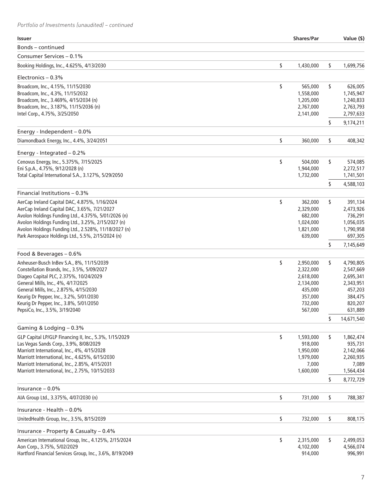| Bonds – continued<br>Consumer Services - 0.1%<br>\$<br>1,430,000<br>\$<br>Booking Holdings, Inc., 4.625%, 4/13/2030<br>1,699,756<br>Electronics $-0.3%$<br>\$<br>Broadcom, Inc., 4.15%, 11/15/2030<br>\$<br>565,000<br>626,005<br>Broadcom, Inc., 4.3%, 11/15/2032<br>1,558,000<br>1,745,947<br>Broadcom, Inc., 3.469%, 4/15/2034 (n)<br>1,205,000<br>1,240,833<br>Broadcom, Inc., 3.187%, 11/15/2036 (n)<br>2,767,000<br>2,763,793<br>2,797,633<br>Intel Corp., 4.75%, 3/25/2050<br>2,141,000<br>\$<br>9,174,211<br>Energy - Independent $-0.0\%$<br>\$<br>\$<br>Diamondback Energy, Inc., 4.4%, 3/24/2051<br>408,342<br>360,000<br>Energy - Integrated $-0.2%$<br>\$<br>\$<br>Cenovus Energy, Inc., 5.375%, 7/15/2025<br>504,000<br>574,085<br>Eni S.p.A., 4.75%, 9/12/2028 (n)<br>1,944,000<br>2,272,517<br>Total Capital International S.A., 3.127%, 5/29/2050<br>1,732,000<br>1,741,501<br>\$<br>4,588,103<br>Financial Institutions - 0.3%<br>\$<br>AerCap Ireland Capital DAC, 4.875%, 1/16/2024<br>\$<br>362,000<br>391,134<br>AerCap Ireland Capital DAC, 3.65%, 7/21/2027<br>2,329,000<br>2,473,926<br>Avolon Holdings Funding Ltd., 4.375%, 5/01/2026 (n)<br>682,000<br>736,291<br>Avolon Holdings Funding Ltd., 3.25%, 2/15/2027 (n)<br>1,056,035<br>1,024,000<br>Avolon Holdings Funding Ltd., 2.528%, 11/18/2027 (n)<br>1,821,000<br>1,790,958<br>Park Aerospace Holdings Ltd., 5.5%, 2/15/2024 (n)<br>639,000<br>697,305<br>\$<br>7,145,649<br>Food & Beverages - 0.6%<br>\$<br>\$<br>Anheuser-Busch InBev S.A., 8%, 11/15/2039<br>2,950,000<br>4,790,805<br>Constellation Brands, Inc., 3.5%, 5/09/2027<br>2,322,000<br>2,547,669<br>Diageo Capital PLC, 2.375%, 10/24/2029<br>2,618,000<br>2,695,341<br>General Mills, Inc., 4%, 4/17/2025<br>2,134,000<br>2,343,951<br>General Mills, Inc., 2.875%, 4/15/2030<br>457,203<br>435,000<br>357,000<br>Keurig Dr Pepper, Inc., 3.2%, 5/01/2030<br>384,475<br>Keurig Dr Pepper, Inc., 3.8%, 5/01/2050<br>732,000<br>820,207<br>567,000<br>PepsiCo, Inc., 3.5%, 3/19/2040<br>631,889<br>\$<br>14,671,540<br>Gaming & Lodging - 0.3%<br>GLP Capital LP/GLP Financing II, Inc., 5.3%, 1/15/2029<br>\$<br>\$<br>1,593,000<br>1,862,474<br>Las Vegas Sands Corp., 3.9%, 8/08/2029<br>918,000<br>935,731<br>Marriott International, Inc., 4%, 4/15/2028<br>1,950,000<br>2,142,066<br>Marriott International, Inc., 4.625%, 6/15/2030<br>1,979,000<br>2,260,935<br>Marriott International, Inc., 2.85%, 4/15/2031<br>7,000<br>7,089<br>Marriott International, Inc., 2.75%, 10/15/2033<br>1,600,000<br>1,564,434<br>\$<br>8,772,729<br>Insurance $-0.0\%$<br>\$<br>\$<br>731,000<br>AIA Group Ltd., 3.375%, 4/07/2030 (n)<br>788,387<br>Insurance - Health $-0.0\%$<br>\$<br>\$<br>UnitedHealth Group, Inc., 3.5%, 8/15/2039<br>808,175<br>732,000<br>Insurance - Property & Casualty - 0.4%<br>\$<br>American International Group, Inc., 4.125%, 2/15/2024<br>\$<br>2,315,000<br>2,499,053<br>Aon Corp., 3.75%, 5/02/2029<br>4,102,000<br>4,566,074<br>Hartford Financial Services Group, Inc., 3.6%, 8/19/2049<br>914,000<br>996,991 | <b>Issuer</b> | <b>Shares/Par</b> | Value (\$) |
|---------------------------------------------------------------------------------------------------------------------------------------------------------------------------------------------------------------------------------------------------------------------------------------------------------------------------------------------------------------------------------------------------------------------------------------------------------------------------------------------------------------------------------------------------------------------------------------------------------------------------------------------------------------------------------------------------------------------------------------------------------------------------------------------------------------------------------------------------------------------------------------------------------------------------------------------------------------------------------------------------------------------------------------------------------------------------------------------------------------------------------------------------------------------------------------------------------------------------------------------------------------------------------------------------------------------------------------------------------------------------------------------------------------------------------------------------------------------------------------------------------------------------------------------------------------------------------------------------------------------------------------------------------------------------------------------------------------------------------------------------------------------------------------------------------------------------------------------------------------------------------------------------------------------------------------------------------------------------------------------------------------------------------------------------------------------------------------------------------------------------------------------------------------------------------------------------------------------------------------------------------------------------------------------------------------------------------------------------------------------------------------------------------------------------------------------------------------------------------------------------------------------------------------------------------------------------------------------------------------------------------------------------------------------------------------------------------------------------------------------------------------------------------------------------------------------------------------------------------------------------------------------------------------------------------------------------------------------------------------------------------------------------------------------------------------------------------------------|---------------|-------------------|------------|
|                                                                                                                                                                                                                                                                                                                                                                                                                                                                                                                                                                                                                                                                                                                                                                                                                                                                                                                                                                                                                                                                                                                                                                                                                                                                                                                                                                                                                                                                                                                                                                                                                                                                                                                                                                                                                                                                                                                                                                                                                                                                                                                                                                                                                                                                                                                                                                                                                                                                                                                                                                                                                                                                                                                                                                                                                                                                                                                                                                                                                                                                                             |               |                   |            |
|                                                                                                                                                                                                                                                                                                                                                                                                                                                                                                                                                                                                                                                                                                                                                                                                                                                                                                                                                                                                                                                                                                                                                                                                                                                                                                                                                                                                                                                                                                                                                                                                                                                                                                                                                                                                                                                                                                                                                                                                                                                                                                                                                                                                                                                                                                                                                                                                                                                                                                                                                                                                                                                                                                                                                                                                                                                                                                                                                                                                                                                                                             |               |                   |            |
|                                                                                                                                                                                                                                                                                                                                                                                                                                                                                                                                                                                                                                                                                                                                                                                                                                                                                                                                                                                                                                                                                                                                                                                                                                                                                                                                                                                                                                                                                                                                                                                                                                                                                                                                                                                                                                                                                                                                                                                                                                                                                                                                                                                                                                                                                                                                                                                                                                                                                                                                                                                                                                                                                                                                                                                                                                                                                                                                                                                                                                                                                             |               |                   |            |
|                                                                                                                                                                                                                                                                                                                                                                                                                                                                                                                                                                                                                                                                                                                                                                                                                                                                                                                                                                                                                                                                                                                                                                                                                                                                                                                                                                                                                                                                                                                                                                                                                                                                                                                                                                                                                                                                                                                                                                                                                                                                                                                                                                                                                                                                                                                                                                                                                                                                                                                                                                                                                                                                                                                                                                                                                                                                                                                                                                                                                                                                                             |               |                   |            |
|                                                                                                                                                                                                                                                                                                                                                                                                                                                                                                                                                                                                                                                                                                                                                                                                                                                                                                                                                                                                                                                                                                                                                                                                                                                                                                                                                                                                                                                                                                                                                                                                                                                                                                                                                                                                                                                                                                                                                                                                                                                                                                                                                                                                                                                                                                                                                                                                                                                                                                                                                                                                                                                                                                                                                                                                                                                                                                                                                                                                                                                                                             |               |                   |            |
|                                                                                                                                                                                                                                                                                                                                                                                                                                                                                                                                                                                                                                                                                                                                                                                                                                                                                                                                                                                                                                                                                                                                                                                                                                                                                                                                                                                                                                                                                                                                                                                                                                                                                                                                                                                                                                                                                                                                                                                                                                                                                                                                                                                                                                                                                                                                                                                                                                                                                                                                                                                                                                                                                                                                                                                                                                                                                                                                                                                                                                                                                             |               |                   |            |
|                                                                                                                                                                                                                                                                                                                                                                                                                                                                                                                                                                                                                                                                                                                                                                                                                                                                                                                                                                                                                                                                                                                                                                                                                                                                                                                                                                                                                                                                                                                                                                                                                                                                                                                                                                                                                                                                                                                                                                                                                                                                                                                                                                                                                                                                                                                                                                                                                                                                                                                                                                                                                                                                                                                                                                                                                                                                                                                                                                                                                                                                                             |               |                   |            |
|                                                                                                                                                                                                                                                                                                                                                                                                                                                                                                                                                                                                                                                                                                                                                                                                                                                                                                                                                                                                                                                                                                                                                                                                                                                                                                                                                                                                                                                                                                                                                                                                                                                                                                                                                                                                                                                                                                                                                                                                                                                                                                                                                                                                                                                                                                                                                                                                                                                                                                                                                                                                                                                                                                                                                                                                                                                                                                                                                                                                                                                                                             |               |                   |            |
|                                                                                                                                                                                                                                                                                                                                                                                                                                                                                                                                                                                                                                                                                                                                                                                                                                                                                                                                                                                                                                                                                                                                                                                                                                                                                                                                                                                                                                                                                                                                                                                                                                                                                                                                                                                                                                                                                                                                                                                                                                                                                                                                                                                                                                                                                                                                                                                                                                                                                                                                                                                                                                                                                                                                                                                                                                                                                                                                                                                                                                                                                             |               |                   |            |
|                                                                                                                                                                                                                                                                                                                                                                                                                                                                                                                                                                                                                                                                                                                                                                                                                                                                                                                                                                                                                                                                                                                                                                                                                                                                                                                                                                                                                                                                                                                                                                                                                                                                                                                                                                                                                                                                                                                                                                                                                                                                                                                                                                                                                                                                                                                                                                                                                                                                                                                                                                                                                                                                                                                                                                                                                                                                                                                                                                                                                                                                                             |               |                   |            |
|                                                                                                                                                                                                                                                                                                                                                                                                                                                                                                                                                                                                                                                                                                                                                                                                                                                                                                                                                                                                                                                                                                                                                                                                                                                                                                                                                                                                                                                                                                                                                                                                                                                                                                                                                                                                                                                                                                                                                                                                                                                                                                                                                                                                                                                                                                                                                                                                                                                                                                                                                                                                                                                                                                                                                                                                                                                                                                                                                                                                                                                                                             |               |                   |            |
|                                                                                                                                                                                                                                                                                                                                                                                                                                                                                                                                                                                                                                                                                                                                                                                                                                                                                                                                                                                                                                                                                                                                                                                                                                                                                                                                                                                                                                                                                                                                                                                                                                                                                                                                                                                                                                                                                                                                                                                                                                                                                                                                                                                                                                                                                                                                                                                                                                                                                                                                                                                                                                                                                                                                                                                                                                                                                                                                                                                                                                                                                             |               |                   |            |
|                                                                                                                                                                                                                                                                                                                                                                                                                                                                                                                                                                                                                                                                                                                                                                                                                                                                                                                                                                                                                                                                                                                                                                                                                                                                                                                                                                                                                                                                                                                                                                                                                                                                                                                                                                                                                                                                                                                                                                                                                                                                                                                                                                                                                                                                                                                                                                                                                                                                                                                                                                                                                                                                                                                                                                                                                                                                                                                                                                                                                                                                                             |               |                   |            |
|                                                                                                                                                                                                                                                                                                                                                                                                                                                                                                                                                                                                                                                                                                                                                                                                                                                                                                                                                                                                                                                                                                                                                                                                                                                                                                                                                                                                                                                                                                                                                                                                                                                                                                                                                                                                                                                                                                                                                                                                                                                                                                                                                                                                                                                                                                                                                                                                                                                                                                                                                                                                                                                                                                                                                                                                                                                                                                                                                                                                                                                                                             |               |                   |            |
|                                                                                                                                                                                                                                                                                                                                                                                                                                                                                                                                                                                                                                                                                                                                                                                                                                                                                                                                                                                                                                                                                                                                                                                                                                                                                                                                                                                                                                                                                                                                                                                                                                                                                                                                                                                                                                                                                                                                                                                                                                                                                                                                                                                                                                                                                                                                                                                                                                                                                                                                                                                                                                                                                                                                                                                                                                                                                                                                                                                                                                                                                             |               |                   |            |
|                                                                                                                                                                                                                                                                                                                                                                                                                                                                                                                                                                                                                                                                                                                                                                                                                                                                                                                                                                                                                                                                                                                                                                                                                                                                                                                                                                                                                                                                                                                                                                                                                                                                                                                                                                                                                                                                                                                                                                                                                                                                                                                                                                                                                                                                                                                                                                                                                                                                                                                                                                                                                                                                                                                                                                                                                                                                                                                                                                                                                                                                                             |               |                   |            |
|                                                                                                                                                                                                                                                                                                                                                                                                                                                                                                                                                                                                                                                                                                                                                                                                                                                                                                                                                                                                                                                                                                                                                                                                                                                                                                                                                                                                                                                                                                                                                                                                                                                                                                                                                                                                                                                                                                                                                                                                                                                                                                                                                                                                                                                                                                                                                                                                                                                                                                                                                                                                                                                                                                                                                                                                                                                                                                                                                                                                                                                                                             |               |                   |            |
|                                                                                                                                                                                                                                                                                                                                                                                                                                                                                                                                                                                                                                                                                                                                                                                                                                                                                                                                                                                                                                                                                                                                                                                                                                                                                                                                                                                                                                                                                                                                                                                                                                                                                                                                                                                                                                                                                                                                                                                                                                                                                                                                                                                                                                                                                                                                                                                                                                                                                                                                                                                                                                                                                                                                                                                                                                                                                                                                                                                                                                                                                             |               |                   |            |
|                                                                                                                                                                                                                                                                                                                                                                                                                                                                                                                                                                                                                                                                                                                                                                                                                                                                                                                                                                                                                                                                                                                                                                                                                                                                                                                                                                                                                                                                                                                                                                                                                                                                                                                                                                                                                                                                                                                                                                                                                                                                                                                                                                                                                                                                                                                                                                                                                                                                                                                                                                                                                                                                                                                                                                                                                                                                                                                                                                                                                                                                                             |               |                   |            |
|                                                                                                                                                                                                                                                                                                                                                                                                                                                                                                                                                                                                                                                                                                                                                                                                                                                                                                                                                                                                                                                                                                                                                                                                                                                                                                                                                                                                                                                                                                                                                                                                                                                                                                                                                                                                                                                                                                                                                                                                                                                                                                                                                                                                                                                                                                                                                                                                                                                                                                                                                                                                                                                                                                                                                                                                                                                                                                                                                                                                                                                                                             |               |                   |            |
|                                                                                                                                                                                                                                                                                                                                                                                                                                                                                                                                                                                                                                                                                                                                                                                                                                                                                                                                                                                                                                                                                                                                                                                                                                                                                                                                                                                                                                                                                                                                                                                                                                                                                                                                                                                                                                                                                                                                                                                                                                                                                                                                                                                                                                                                                                                                                                                                                                                                                                                                                                                                                                                                                                                                                                                                                                                                                                                                                                                                                                                                                             |               |                   |            |
|                                                                                                                                                                                                                                                                                                                                                                                                                                                                                                                                                                                                                                                                                                                                                                                                                                                                                                                                                                                                                                                                                                                                                                                                                                                                                                                                                                                                                                                                                                                                                                                                                                                                                                                                                                                                                                                                                                                                                                                                                                                                                                                                                                                                                                                                                                                                                                                                                                                                                                                                                                                                                                                                                                                                                                                                                                                                                                                                                                                                                                                                                             |               |                   |            |
|                                                                                                                                                                                                                                                                                                                                                                                                                                                                                                                                                                                                                                                                                                                                                                                                                                                                                                                                                                                                                                                                                                                                                                                                                                                                                                                                                                                                                                                                                                                                                                                                                                                                                                                                                                                                                                                                                                                                                                                                                                                                                                                                                                                                                                                                                                                                                                                                                                                                                                                                                                                                                                                                                                                                                                                                                                                                                                                                                                                                                                                                                             |               |                   |            |
|                                                                                                                                                                                                                                                                                                                                                                                                                                                                                                                                                                                                                                                                                                                                                                                                                                                                                                                                                                                                                                                                                                                                                                                                                                                                                                                                                                                                                                                                                                                                                                                                                                                                                                                                                                                                                                                                                                                                                                                                                                                                                                                                                                                                                                                                                                                                                                                                                                                                                                                                                                                                                                                                                                                                                                                                                                                                                                                                                                                                                                                                                             |               |                   |            |
|                                                                                                                                                                                                                                                                                                                                                                                                                                                                                                                                                                                                                                                                                                                                                                                                                                                                                                                                                                                                                                                                                                                                                                                                                                                                                                                                                                                                                                                                                                                                                                                                                                                                                                                                                                                                                                                                                                                                                                                                                                                                                                                                                                                                                                                                                                                                                                                                                                                                                                                                                                                                                                                                                                                                                                                                                                                                                                                                                                                                                                                                                             |               |                   |            |
|                                                                                                                                                                                                                                                                                                                                                                                                                                                                                                                                                                                                                                                                                                                                                                                                                                                                                                                                                                                                                                                                                                                                                                                                                                                                                                                                                                                                                                                                                                                                                                                                                                                                                                                                                                                                                                                                                                                                                                                                                                                                                                                                                                                                                                                                                                                                                                                                                                                                                                                                                                                                                                                                                                                                                                                                                                                                                                                                                                                                                                                                                             |               |                   |            |
|                                                                                                                                                                                                                                                                                                                                                                                                                                                                                                                                                                                                                                                                                                                                                                                                                                                                                                                                                                                                                                                                                                                                                                                                                                                                                                                                                                                                                                                                                                                                                                                                                                                                                                                                                                                                                                                                                                                                                                                                                                                                                                                                                                                                                                                                                                                                                                                                                                                                                                                                                                                                                                                                                                                                                                                                                                                                                                                                                                                                                                                                                             |               |                   |            |
|                                                                                                                                                                                                                                                                                                                                                                                                                                                                                                                                                                                                                                                                                                                                                                                                                                                                                                                                                                                                                                                                                                                                                                                                                                                                                                                                                                                                                                                                                                                                                                                                                                                                                                                                                                                                                                                                                                                                                                                                                                                                                                                                                                                                                                                                                                                                                                                                                                                                                                                                                                                                                                                                                                                                                                                                                                                                                                                                                                                                                                                                                             |               |                   |            |
|                                                                                                                                                                                                                                                                                                                                                                                                                                                                                                                                                                                                                                                                                                                                                                                                                                                                                                                                                                                                                                                                                                                                                                                                                                                                                                                                                                                                                                                                                                                                                                                                                                                                                                                                                                                                                                                                                                                                                                                                                                                                                                                                                                                                                                                                                                                                                                                                                                                                                                                                                                                                                                                                                                                                                                                                                                                                                                                                                                                                                                                                                             |               |                   |            |
|                                                                                                                                                                                                                                                                                                                                                                                                                                                                                                                                                                                                                                                                                                                                                                                                                                                                                                                                                                                                                                                                                                                                                                                                                                                                                                                                                                                                                                                                                                                                                                                                                                                                                                                                                                                                                                                                                                                                                                                                                                                                                                                                                                                                                                                                                                                                                                                                                                                                                                                                                                                                                                                                                                                                                                                                                                                                                                                                                                                                                                                                                             |               |                   |            |
|                                                                                                                                                                                                                                                                                                                                                                                                                                                                                                                                                                                                                                                                                                                                                                                                                                                                                                                                                                                                                                                                                                                                                                                                                                                                                                                                                                                                                                                                                                                                                                                                                                                                                                                                                                                                                                                                                                                                                                                                                                                                                                                                                                                                                                                                                                                                                                                                                                                                                                                                                                                                                                                                                                                                                                                                                                                                                                                                                                                                                                                                                             |               |                   |            |
|                                                                                                                                                                                                                                                                                                                                                                                                                                                                                                                                                                                                                                                                                                                                                                                                                                                                                                                                                                                                                                                                                                                                                                                                                                                                                                                                                                                                                                                                                                                                                                                                                                                                                                                                                                                                                                                                                                                                                                                                                                                                                                                                                                                                                                                                                                                                                                                                                                                                                                                                                                                                                                                                                                                                                                                                                                                                                                                                                                                                                                                                                             |               |                   |            |
|                                                                                                                                                                                                                                                                                                                                                                                                                                                                                                                                                                                                                                                                                                                                                                                                                                                                                                                                                                                                                                                                                                                                                                                                                                                                                                                                                                                                                                                                                                                                                                                                                                                                                                                                                                                                                                                                                                                                                                                                                                                                                                                                                                                                                                                                                                                                                                                                                                                                                                                                                                                                                                                                                                                                                                                                                                                                                                                                                                                                                                                                                             |               |                   |            |
|                                                                                                                                                                                                                                                                                                                                                                                                                                                                                                                                                                                                                                                                                                                                                                                                                                                                                                                                                                                                                                                                                                                                                                                                                                                                                                                                                                                                                                                                                                                                                                                                                                                                                                                                                                                                                                                                                                                                                                                                                                                                                                                                                                                                                                                                                                                                                                                                                                                                                                                                                                                                                                                                                                                                                                                                                                                                                                                                                                                                                                                                                             |               |                   |            |
|                                                                                                                                                                                                                                                                                                                                                                                                                                                                                                                                                                                                                                                                                                                                                                                                                                                                                                                                                                                                                                                                                                                                                                                                                                                                                                                                                                                                                                                                                                                                                                                                                                                                                                                                                                                                                                                                                                                                                                                                                                                                                                                                                                                                                                                                                                                                                                                                                                                                                                                                                                                                                                                                                                                                                                                                                                                                                                                                                                                                                                                                                             |               |                   |            |
|                                                                                                                                                                                                                                                                                                                                                                                                                                                                                                                                                                                                                                                                                                                                                                                                                                                                                                                                                                                                                                                                                                                                                                                                                                                                                                                                                                                                                                                                                                                                                                                                                                                                                                                                                                                                                                                                                                                                                                                                                                                                                                                                                                                                                                                                                                                                                                                                                                                                                                                                                                                                                                                                                                                                                                                                                                                                                                                                                                                                                                                                                             |               |                   |            |
|                                                                                                                                                                                                                                                                                                                                                                                                                                                                                                                                                                                                                                                                                                                                                                                                                                                                                                                                                                                                                                                                                                                                                                                                                                                                                                                                                                                                                                                                                                                                                                                                                                                                                                                                                                                                                                                                                                                                                                                                                                                                                                                                                                                                                                                                                                                                                                                                                                                                                                                                                                                                                                                                                                                                                                                                                                                                                                                                                                                                                                                                                             |               |                   |            |
|                                                                                                                                                                                                                                                                                                                                                                                                                                                                                                                                                                                                                                                                                                                                                                                                                                                                                                                                                                                                                                                                                                                                                                                                                                                                                                                                                                                                                                                                                                                                                                                                                                                                                                                                                                                                                                                                                                                                                                                                                                                                                                                                                                                                                                                                                                                                                                                                                                                                                                                                                                                                                                                                                                                                                                                                                                                                                                                                                                                                                                                                                             |               |                   |            |
|                                                                                                                                                                                                                                                                                                                                                                                                                                                                                                                                                                                                                                                                                                                                                                                                                                                                                                                                                                                                                                                                                                                                                                                                                                                                                                                                                                                                                                                                                                                                                                                                                                                                                                                                                                                                                                                                                                                                                                                                                                                                                                                                                                                                                                                                                                                                                                                                                                                                                                                                                                                                                                                                                                                                                                                                                                                                                                                                                                                                                                                                                             |               |                   |            |
|                                                                                                                                                                                                                                                                                                                                                                                                                                                                                                                                                                                                                                                                                                                                                                                                                                                                                                                                                                                                                                                                                                                                                                                                                                                                                                                                                                                                                                                                                                                                                                                                                                                                                                                                                                                                                                                                                                                                                                                                                                                                                                                                                                                                                                                                                                                                                                                                                                                                                                                                                                                                                                                                                                                                                                                                                                                                                                                                                                                                                                                                                             |               |                   |            |
|                                                                                                                                                                                                                                                                                                                                                                                                                                                                                                                                                                                                                                                                                                                                                                                                                                                                                                                                                                                                                                                                                                                                                                                                                                                                                                                                                                                                                                                                                                                                                                                                                                                                                                                                                                                                                                                                                                                                                                                                                                                                                                                                                                                                                                                                                                                                                                                                                                                                                                                                                                                                                                                                                                                                                                                                                                                                                                                                                                                                                                                                                             |               |                   |            |
|                                                                                                                                                                                                                                                                                                                                                                                                                                                                                                                                                                                                                                                                                                                                                                                                                                                                                                                                                                                                                                                                                                                                                                                                                                                                                                                                                                                                                                                                                                                                                                                                                                                                                                                                                                                                                                                                                                                                                                                                                                                                                                                                                                                                                                                                                                                                                                                                                                                                                                                                                                                                                                                                                                                                                                                                                                                                                                                                                                                                                                                                                             |               |                   |            |
|                                                                                                                                                                                                                                                                                                                                                                                                                                                                                                                                                                                                                                                                                                                                                                                                                                                                                                                                                                                                                                                                                                                                                                                                                                                                                                                                                                                                                                                                                                                                                                                                                                                                                                                                                                                                                                                                                                                                                                                                                                                                                                                                                                                                                                                                                                                                                                                                                                                                                                                                                                                                                                                                                                                                                                                                                                                                                                                                                                                                                                                                                             |               |                   |            |
|                                                                                                                                                                                                                                                                                                                                                                                                                                                                                                                                                                                                                                                                                                                                                                                                                                                                                                                                                                                                                                                                                                                                                                                                                                                                                                                                                                                                                                                                                                                                                                                                                                                                                                                                                                                                                                                                                                                                                                                                                                                                                                                                                                                                                                                                                                                                                                                                                                                                                                                                                                                                                                                                                                                                                                                                                                                                                                                                                                                                                                                                                             |               |                   |            |
|                                                                                                                                                                                                                                                                                                                                                                                                                                                                                                                                                                                                                                                                                                                                                                                                                                                                                                                                                                                                                                                                                                                                                                                                                                                                                                                                                                                                                                                                                                                                                                                                                                                                                                                                                                                                                                                                                                                                                                                                                                                                                                                                                                                                                                                                                                                                                                                                                                                                                                                                                                                                                                                                                                                                                                                                                                                                                                                                                                                                                                                                                             |               |                   |            |
|                                                                                                                                                                                                                                                                                                                                                                                                                                                                                                                                                                                                                                                                                                                                                                                                                                                                                                                                                                                                                                                                                                                                                                                                                                                                                                                                                                                                                                                                                                                                                                                                                                                                                                                                                                                                                                                                                                                                                                                                                                                                                                                                                                                                                                                                                                                                                                                                                                                                                                                                                                                                                                                                                                                                                                                                                                                                                                                                                                                                                                                                                             |               |                   |            |
|                                                                                                                                                                                                                                                                                                                                                                                                                                                                                                                                                                                                                                                                                                                                                                                                                                                                                                                                                                                                                                                                                                                                                                                                                                                                                                                                                                                                                                                                                                                                                                                                                                                                                                                                                                                                                                                                                                                                                                                                                                                                                                                                                                                                                                                                                                                                                                                                                                                                                                                                                                                                                                                                                                                                                                                                                                                                                                                                                                                                                                                                                             |               |                   |            |
|                                                                                                                                                                                                                                                                                                                                                                                                                                                                                                                                                                                                                                                                                                                                                                                                                                                                                                                                                                                                                                                                                                                                                                                                                                                                                                                                                                                                                                                                                                                                                                                                                                                                                                                                                                                                                                                                                                                                                                                                                                                                                                                                                                                                                                                                                                                                                                                                                                                                                                                                                                                                                                                                                                                                                                                                                                                                                                                                                                                                                                                                                             |               |                   |            |
|                                                                                                                                                                                                                                                                                                                                                                                                                                                                                                                                                                                                                                                                                                                                                                                                                                                                                                                                                                                                                                                                                                                                                                                                                                                                                                                                                                                                                                                                                                                                                                                                                                                                                                                                                                                                                                                                                                                                                                                                                                                                                                                                                                                                                                                                                                                                                                                                                                                                                                                                                                                                                                                                                                                                                                                                                                                                                                                                                                                                                                                                                             |               |                   |            |
|                                                                                                                                                                                                                                                                                                                                                                                                                                                                                                                                                                                                                                                                                                                                                                                                                                                                                                                                                                                                                                                                                                                                                                                                                                                                                                                                                                                                                                                                                                                                                                                                                                                                                                                                                                                                                                                                                                                                                                                                                                                                                                                                                                                                                                                                                                                                                                                                                                                                                                                                                                                                                                                                                                                                                                                                                                                                                                                                                                                                                                                                                             |               |                   |            |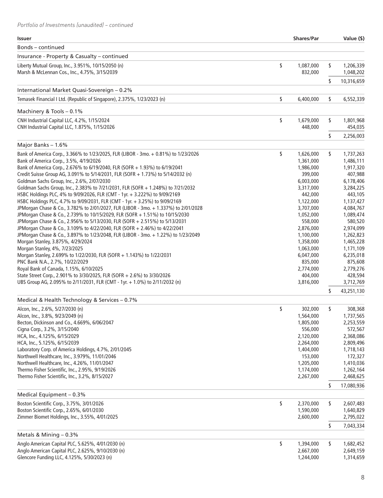| Bonds - continued<br>Insurance - Property & Casualty - continued<br>\$<br>1,087,000<br>\$<br>Liberty Mutual Group, Inc., 3.951%, 10/15/2050 (n)<br>1,206,339<br>Marsh & McLennan Cos., Inc., 4.75%, 3/15/2039<br>832,000<br>1,048,202<br>\$<br>10,316,659<br>International Market Quasi-Sovereign - 0.2%<br>\$<br>\$<br>Temasek Financial I Ltd. (Republic of Singapore), 2.375%, 1/23/2023 (n)<br>6,400,000<br>6,552,339<br>Machinery & Tools - 0.1%<br>CNH Industrial Capital LLC, 4.2%, 1/15/2024<br>\$<br>\$<br>1,679,000<br>1,801,968<br>CNH Industrial Capital LLC, 1.875%, 1/15/2026<br>448,000<br>454,035<br>\$<br>2,256,003<br>Major Banks - 1.6%<br>\$<br>\$<br>Bank of America Corp., 3.366% to 1/23/2025, FLR (LIBOR - 3mo. + 0.81%) to 1/23/2026<br>1,626,000<br>1,737,263<br>Bank of America Corp., 3.5%, 4/19/2026<br>1,486,111<br>1,361,000<br>Bank of America Corp., 2.676% to 6/19/2040, FLR (SOFR + 1.93%) to 6/19/2041<br>1,986,000<br>1,917,320<br>Credit Suisse Group AG, 3.091% to 5/14/2031, FLR (SOFR + 1.73%) to 5/14/2032 (n)<br>399,000<br>407,988<br>Goldman Sachs Group, Inc., 2.6%, 2/07/2030<br>6,003,000<br>6,178,406<br>Goldman Sachs Group, Inc., 2.383% to 7/21/2031, FLR (SOFR + 1.248%) to 7/21/2032<br>3,317,000<br>3,284,225<br>HSBC Holdings PLC, 4% to 9/09/2026, FLR (CMT - 1yr. + 3.222%) to 9/09/2169<br>442,000<br>443,105<br>HSBC Holdings PLC, 4.7% to 9/09/2031, FLR (CMT - 1yr. + 3.25%) to 9/09/2169<br>1,122,000<br>1,137,427<br>JPMorgan Chase & Co., 3.782% to 2/01/2027, FLR (LIBOR - 3mo. + 1.337%) to 2/01/2028<br>3,707,000<br>4,084,767<br>JPMorgan Chase & Co., 2.739% to 10/15/2029, FLR (SOFR + 1.51%) to 10/15/2030<br>1,089,474<br>1,052,000<br>JPMorgan Chase & Co., 2.956% to 5/13/2030, FLR (SOFR + 2.515%) to 5/13/2031<br>558,000<br>580,520<br>JPMorgan Chase & Co., 3.109% to 4/22/2040, FLR (SOFR + 2.46%) to 4/22/2041<br>2,876,000<br>2,974,099<br>JPMorgan Chase & Co., 3.897% to 1/23/2048, FLR (LIBOR - 3mo. + 1.22%) to 1/23/2049<br>1,100,000<br>1,262,823<br>Morgan Stanley, 3.875%, 4/29/2024<br>1,358,000<br>1,465,228<br>Morgan Stanley, 4%, 7/23/2025<br>1,063,000<br>1,171,109<br>Morgan Stanley, 2.699% to 1/22/2030, FLR (SOFR + 1.143%) to 1/22/2031<br>6,047,000<br>6,235,018<br>PNC Bank N.A., 2.7%, 10/22/2029<br>835,000<br>875,608<br>Royal Bank of Canada, 1.15%, 6/10/2025<br>2,774,000<br>2,779,276<br>State Street Corp., 2.901% to 3/30/2025, FLR (SOFR + 2.6%) to 3/30/2026<br>428,594<br>404,000<br>3,712,769<br>UBS Group AG, 2.095% to 2/11/2031, FLR (CMT - 1yr. + 1.0%) to 2/11/2032 (n)<br>3,816,000<br>\$<br>43,251,130<br>Medical & Health Technology & Services - 0.7%<br>\$<br>Alcon, Inc., 2.6%, 5/27/2030 (n)<br>\$<br>302,000<br>308,368<br>Alcon, Inc., 3.8%, 9/23/2049 (n)<br>1,564,000<br>1,737,565<br>Becton, Dickinson and Co., 4.669%, 6/06/2047<br>1,805,000<br>2,253,559<br>Cigna Corp., 3.2%, 3/15/2040<br>556,000<br>572,567<br>HCA, Inc., 4.125%, 6/15/2029<br>2,120,000<br>2,368,086<br>HCA, Inc., 5.125%, 6/15/2039<br>2,264,000<br>2,809,496<br>Laboratory Corp. of America Holdings, 4.7%, 2/01/2045<br>1,404,000<br>1,718,143<br>Northwell Healthcare, Inc., 3.979%, 11/01/2046<br>153,000<br>172,327<br>Northwell Healthcare, Inc., 4.26%, 11/01/2047<br>1,205,000<br>1,410,036<br>Thermo Fisher Scientific, Inc., 2.95%, 9/19/2026<br>1,174,000<br>1,262,164<br>Thermo Fisher Scientific, Inc., 3.2%, 8/15/2027<br>2,267,000<br>2,468,625<br>\$<br>17,080,936<br>Medical Equipment - 0.3%<br>Boston Scientific Corp., 3.75%, 3/01/2026<br>\$<br>2,370,000<br>\$<br>2,607,483<br>Boston Scientific Corp., 2.65%, 6/01/2030<br>1,590,000<br>1,640,829<br>Zimmer Biomet Holdings, Inc., 3.55%, 4/01/2025<br>2,600,000<br>2,795,022<br>\$<br>7,043,334<br>Metals & Mining - 0.3%<br>\$<br>Anglo American Capital PLC, 5.625%, 4/01/2030 (n)<br>\$<br>1,394,000<br>1,682,452<br>Anglo American Capital PLC, 2.625%, 9/10/2030 (n)<br>2,667,000<br>2,649,159<br>Glencore Funding LLC, 4.125%, 5/30/2023 (n)<br>1,244,000<br>1,314,659 | <b>Issuer</b> | <b>Shares/Par</b> | Value (\$) |
|-------------------------------------------------------------------------------------------------------------------------------------------------------------------------------------------------------------------------------------------------------------------------------------------------------------------------------------------------------------------------------------------------------------------------------------------------------------------------------------------------------------------------------------------------------------------------------------------------------------------------------------------------------------------------------------------------------------------------------------------------------------------------------------------------------------------------------------------------------------------------------------------------------------------------------------------------------------------------------------------------------------------------------------------------------------------------------------------------------------------------------------------------------------------------------------------------------------------------------------------------------------------------------------------------------------------------------------------------------------------------------------------------------------------------------------------------------------------------------------------------------------------------------------------------------------------------------------------------------------------------------------------------------------------------------------------------------------------------------------------------------------------------------------------------------------------------------------------------------------------------------------------------------------------------------------------------------------------------------------------------------------------------------------------------------------------------------------------------------------------------------------------------------------------------------------------------------------------------------------------------------------------------------------------------------------------------------------------------------------------------------------------------------------------------------------------------------------------------------------------------------------------------------------------------------------------------------------------------------------------------------------------------------------------------------------------------------------------------------------------------------------------------------------------------------------------------------------------------------------------------------------------------------------------------------------------------------------------------------------------------------------------------------------------------------------------------------------------------------------------------------------------------------------------------------------------------------------------------------------------------------------------------------------------------------------------------------------------------------------------------------------------------------------------------------------------------------------------------------------------------------------------------------------------------------------------------------------------------------------------------------------------------------------------------------------------------------------------------------------------------------------------------------------------------------------------------------------------------------------------------------------------------------------------------------------------------------------------------------------------------------------------------------------------------------------------|---------------|-------------------|------------|
|                                                                                                                                                                                                                                                                                                                                                                                                                                                                                                                                                                                                                                                                                                                                                                                                                                                                                                                                                                                                                                                                                                                                                                                                                                                                                                                                                                                                                                                                                                                                                                                                                                                                                                                                                                                                                                                                                                                                                                                                                                                                                                                                                                                                                                                                                                                                                                                                                                                                                                                                                                                                                                                                                                                                                                                                                                                                                                                                                                                                                                                                                                                                                                                                                                                                                                                                                                                                                                                                                                                                                                                                                                                                                                                                                                                                                                                                                                                                                                                                                                                                   |               |                   |            |
|                                                                                                                                                                                                                                                                                                                                                                                                                                                                                                                                                                                                                                                                                                                                                                                                                                                                                                                                                                                                                                                                                                                                                                                                                                                                                                                                                                                                                                                                                                                                                                                                                                                                                                                                                                                                                                                                                                                                                                                                                                                                                                                                                                                                                                                                                                                                                                                                                                                                                                                                                                                                                                                                                                                                                                                                                                                                                                                                                                                                                                                                                                                                                                                                                                                                                                                                                                                                                                                                                                                                                                                                                                                                                                                                                                                                                                                                                                                                                                                                                                                                   |               |                   |            |
|                                                                                                                                                                                                                                                                                                                                                                                                                                                                                                                                                                                                                                                                                                                                                                                                                                                                                                                                                                                                                                                                                                                                                                                                                                                                                                                                                                                                                                                                                                                                                                                                                                                                                                                                                                                                                                                                                                                                                                                                                                                                                                                                                                                                                                                                                                                                                                                                                                                                                                                                                                                                                                                                                                                                                                                                                                                                                                                                                                                                                                                                                                                                                                                                                                                                                                                                                                                                                                                                                                                                                                                                                                                                                                                                                                                                                                                                                                                                                                                                                                                                   |               |                   |            |
|                                                                                                                                                                                                                                                                                                                                                                                                                                                                                                                                                                                                                                                                                                                                                                                                                                                                                                                                                                                                                                                                                                                                                                                                                                                                                                                                                                                                                                                                                                                                                                                                                                                                                                                                                                                                                                                                                                                                                                                                                                                                                                                                                                                                                                                                                                                                                                                                                                                                                                                                                                                                                                                                                                                                                                                                                                                                                                                                                                                                                                                                                                                                                                                                                                                                                                                                                                                                                                                                                                                                                                                                                                                                                                                                                                                                                                                                                                                                                                                                                                                                   |               |                   |            |
|                                                                                                                                                                                                                                                                                                                                                                                                                                                                                                                                                                                                                                                                                                                                                                                                                                                                                                                                                                                                                                                                                                                                                                                                                                                                                                                                                                                                                                                                                                                                                                                                                                                                                                                                                                                                                                                                                                                                                                                                                                                                                                                                                                                                                                                                                                                                                                                                                                                                                                                                                                                                                                                                                                                                                                                                                                                                                                                                                                                                                                                                                                                                                                                                                                                                                                                                                                                                                                                                                                                                                                                                                                                                                                                                                                                                                                                                                                                                                                                                                                                                   |               |                   |            |
|                                                                                                                                                                                                                                                                                                                                                                                                                                                                                                                                                                                                                                                                                                                                                                                                                                                                                                                                                                                                                                                                                                                                                                                                                                                                                                                                                                                                                                                                                                                                                                                                                                                                                                                                                                                                                                                                                                                                                                                                                                                                                                                                                                                                                                                                                                                                                                                                                                                                                                                                                                                                                                                                                                                                                                                                                                                                                                                                                                                                                                                                                                                                                                                                                                                                                                                                                                                                                                                                                                                                                                                                                                                                                                                                                                                                                                                                                                                                                                                                                                                                   |               |                   |            |
|                                                                                                                                                                                                                                                                                                                                                                                                                                                                                                                                                                                                                                                                                                                                                                                                                                                                                                                                                                                                                                                                                                                                                                                                                                                                                                                                                                                                                                                                                                                                                                                                                                                                                                                                                                                                                                                                                                                                                                                                                                                                                                                                                                                                                                                                                                                                                                                                                                                                                                                                                                                                                                                                                                                                                                                                                                                                                                                                                                                                                                                                                                                                                                                                                                                                                                                                                                                                                                                                                                                                                                                                                                                                                                                                                                                                                                                                                                                                                                                                                                                                   |               |                   |            |
|                                                                                                                                                                                                                                                                                                                                                                                                                                                                                                                                                                                                                                                                                                                                                                                                                                                                                                                                                                                                                                                                                                                                                                                                                                                                                                                                                                                                                                                                                                                                                                                                                                                                                                                                                                                                                                                                                                                                                                                                                                                                                                                                                                                                                                                                                                                                                                                                                                                                                                                                                                                                                                                                                                                                                                                                                                                                                                                                                                                                                                                                                                                                                                                                                                                                                                                                                                                                                                                                                                                                                                                                                                                                                                                                                                                                                                                                                                                                                                                                                                                                   |               |                   |            |
|                                                                                                                                                                                                                                                                                                                                                                                                                                                                                                                                                                                                                                                                                                                                                                                                                                                                                                                                                                                                                                                                                                                                                                                                                                                                                                                                                                                                                                                                                                                                                                                                                                                                                                                                                                                                                                                                                                                                                                                                                                                                                                                                                                                                                                                                                                                                                                                                                                                                                                                                                                                                                                                                                                                                                                                                                                                                                                                                                                                                                                                                                                                                                                                                                                                                                                                                                                                                                                                                                                                                                                                                                                                                                                                                                                                                                                                                                                                                                                                                                                                                   |               |                   |            |
|                                                                                                                                                                                                                                                                                                                                                                                                                                                                                                                                                                                                                                                                                                                                                                                                                                                                                                                                                                                                                                                                                                                                                                                                                                                                                                                                                                                                                                                                                                                                                                                                                                                                                                                                                                                                                                                                                                                                                                                                                                                                                                                                                                                                                                                                                                                                                                                                                                                                                                                                                                                                                                                                                                                                                                                                                                                                                                                                                                                                                                                                                                                                                                                                                                                                                                                                                                                                                                                                                                                                                                                                                                                                                                                                                                                                                                                                                                                                                                                                                                                                   |               |                   |            |
|                                                                                                                                                                                                                                                                                                                                                                                                                                                                                                                                                                                                                                                                                                                                                                                                                                                                                                                                                                                                                                                                                                                                                                                                                                                                                                                                                                                                                                                                                                                                                                                                                                                                                                                                                                                                                                                                                                                                                                                                                                                                                                                                                                                                                                                                                                                                                                                                                                                                                                                                                                                                                                                                                                                                                                                                                                                                                                                                                                                                                                                                                                                                                                                                                                                                                                                                                                                                                                                                                                                                                                                                                                                                                                                                                                                                                                                                                                                                                                                                                                                                   |               |                   |            |
|                                                                                                                                                                                                                                                                                                                                                                                                                                                                                                                                                                                                                                                                                                                                                                                                                                                                                                                                                                                                                                                                                                                                                                                                                                                                                                                                                                                                                                                                                                                                                                                                                                                                                                                                                                                                                                                                                                                                                                                                                                                                                                                                                                                                                                                                                                                                                                                                                                                                                                                                                                                                                                                                                                                                                                                                                                                                                                                                                                                                                                                                                                                                                                                                                                                                                                                                                                                                                                                                                                                                                                                                                                                                                                                                                                                                                                                                                                                                                                                                                                                                   |               |                   |            |
|                                                                                                                                                                                                                                                                                                                                                                                                                                                                                                                                                                                                                                                                                                                                                                                                                                                                                                                                                                                                                                                                                                                                                                                                                                                                                                                                                                                                                                                                                                                                                                                                                                                                                                                                                                                                                                                                                                                                                                                                                                                                                                                                                                                                                                                                                                                                                                                                                                                                                                                                                                                                                                                                                                                                                                                                                                                                                                                                                                                                                                                                                                                                                                                                                                                                                                                                                                                                                                                                                                                                                                                                                                                                                                                                                                                                                                                                                                                                                                                                                                                                   |               |                   |            |
|                                                                                                                                                                                                                                                                                                                                                                                                                                                                                                                                                                                                                                                                                                                                                                                                                                                                                                                                                                                                                                                                                                                                                                                                                                                                                                                                                                                                                                                                                                                                                                                                                                                                                                                                                                                                                                                                                                                                                                                                                                                                                                                                                                                                                                                                                                                                                                                                                                                                                                                                                                                                                                                                                                                                                                                                                                                                                                                                                                                                                                                                                                                                                                                                                                                                                                                                                                                                                                                                                                                                                                                                                                                                                                                                                                                                                                                                                                                                                                                                                                                                   |               |                   |            |
|                                                                                                                                                                                                                                                                                                                                                                                                                                                                                                                                                                                                                                                                                                                                                                                                                                                                                                                                                                                                                                                                                                                                                                                                                                                                                                                                                                                                                                                                                                                                                                                                                                                                                                                                                                                                                                                                                                                                                                                                                                                                                                                                                                                                                                                                                                                                                                                                                                                                                                                                                                                                                                                                                                                                                                                                                                                                                                                                                                                                                                                                                                                                                                                                                                                                                                                                                                                                                                                                                                                                                                                                                                                                                                                                                                                                                                                                                                                                                                                                                                                                   |               |                   |            |
|                                                                                                                                                                                                                                                                                                                                                                                                                                                                                                                                                                                                                                                                                                                                                                                                                                                                                                                                                                                                                                                                                                                                                                                                                                                                                                                                                                                                                                                                                                                                                                                                                                                                                                                                                                                                                                                                                                                                                                                                                                                                                                                                                                                                                                                                                                                                                                                                                                                                                                                                                                                                                                                                                                                                                                                                                                                                                                                                                                                                                                                                                                                                                                                                                                                                                                                                                                                                                                                                                                                                                                                                                                                                                                                                                                                                                                                                                                                                                                                                                                                                   |               |                   |            |
|                                                                                                                                                                                                                                                                                                                                                                                                                                                                                                                                                                                                                                                                                                                                                                                                                                                                                                                                                                                                                                                                                                                                                                                                                                                                                                                                                                                                                                                                                                                                                                                                                                                                                                                                                                                                                                                                                                                                                                                                                                                                                                                                                                                                                                                                                                                                                                                                                                                                                                                                                                                                                                                                                                                                                                                                                                                                                                                                                                                                                                                                                                                                                                                                                                                                                                                                                                                                                                                                                                                                                                                                                                                                                                                                                                                                                                                                                                                                                                                                                                                                   |               |                   |            |
|                                                                                                                                                                                                                                                                                                                                                                                                                                                                                                                                                                                                                                                                                                                                                                                                                                                                                                                                                                                                                                                                                                                                                                                                                                                                                                                                                                                                                                                                                                                                                                                                                                                                                                                                                                                                                                                                                                                                                                                                                                                                                                                                                                                                                                                                                                                                                                                                                                                                                                                                                                                                                                                                                                                                                                                                                                                                                                                                                                                                                                                                                                                                                                                                                                                                                                                                                                                                                                                                                                                                                                                                                                                                                                                                                                                                                                                                                                                                                                                                                                                                   |               |                   |            |
|                                                                                                                                                                                                                                                                                                                                                                                                                                                                                                                                                                                                                                                                                                                                                                                                                                                                                                                                                                                                                                                                                                                                                                                                                                                                                                                                                                                                                                                                                                                                                                                                                                                                                                                                                                                                                                                                                                                                                                                                                                                                                                                                                                                                                                                                                                                                                                                                                                                                                                                                                                                                                                                                                                                                                                                                                                                                                                                                                                                                                                                                                                                                                                                                                                                                                                                                                                                                                                                                                                                                                                                                                                                                                                                                                                                                                                                                                                                                                                                                                                                                   |               |                   |            |
|                                                                                                                                                                                                                                                                                                                                                                                                                                                                                                                                                                                                                                                                                                                                                                                                                                                                                                                                                                                                                                                                                                                                                                                                                                                                                                                                                                                                                                                                                                                                                                                                                                                                                                                                                                                                                                                                                                                                                                                                                                                                                                                                                                                                                                                                                                                                                                                                                                                                                                                                                                                                                                                                                                                                                                                                                                                                                                                                                                                                                                                                                                                                                                                                                                                                                                                                                                                                                                                                                                                                                                                                                                                                                                                                                                                                                                                                                                                                                                                                                                                                   |               |                   |            |
|                                                                                                                                                                                                                                                                                                                                                                                                                                                                                                                                                                                                                                                                                                                                                                                                                                                                                                                                                                                                                                                                                                                                                                                                                                                                                                                                                                                                                                                                                                                                                                                                                                                                                                                                                                                                                                                                                                                                                                                                                                                                                                                                                                                                                                                                                                                                                                                                                                                                                                                                                                                                                                                                                                                                                                                                                                                                                                                                                                                                                                                                                                                                                                                                                                                                                                                                                                                                                                                                                                                                                                                                                                                                                                                                                                                                                                                                                                                                                                                                                                                                   |               |                   |            |
|                                                                                                                                                                                                                                                                                                                                                                                                                                                                                                                                                                                                                                                                                                                                                                                                                                                                                                                                                                                                                                                                                                                                                                                                                                                                                                                                                                                                                                                                                                                                                                                                                                                                                                                                                                                                                                                                                                                                                                                                                                                                                                                                                                                                                                                                                                                                                                                                                                                                                                                                                                                                                                                                                                                                                                                                                                                                                                                                                                                                                                                                                                                                                                                                                                                                                                                                                                                                                                                                                                                                                                                                                                                                                                                                                                                                                                                                                                                                                                                                                                                                   |               |                   |            |
|                                                                                                                                                                                                                                                                                                                                                                                                                                                                                                                                                                                                                                                                                                                                                                                                                                                                                                                                                                                                                                                                                                                                                                                                                                                                                                                                                                                                                                                                                                                                                                                                                                                                                                                                                                                                                                                                                                                                                                                                                                                                                                                                                                                                                                                                                                                                                                                                                                                                                                                                                                                                                                                                                                                                                                                                                                                                                                                                                                                                                                                                                                                                                                                                                                                                                                                                                                                                                                                                                                                                                                                                                                                                                                                                                                                                                                                                                                                                                                                                                                                                   |               |                   |            |
|                                                                                                                                                                                                                                                                                                                                                                                                                                                                                                                                                                                                                                                                                                                                                                                                                                                                                                                                                                                                                                                                                                                                                                                                                                                                                                                                                                                                                                                                                                                                                                                                                                                                                                                                                                                                                                                                                                                                                                                                                                                                                                                                                                                                                                                                                                                                                                                                                                                                                                                                                                                                                                                                                                                                                                                                                                                                                                                                                                                                                                                                                                                                                                                                                                                                                                                                                                                                                                                                                                                                                                                                                                                                                                                                                                                                                                                                                                                                                                                                                                                                   |               |                   |            |
|                                                                                                                                                                                                                                                                                                                                                                                                                                                                                                                                                                                                                                                                                                                                                                                                                                                                                                                                                                                                                                                                                                                                                                                                                                                                                                                                                                                                                                                                                                                                                                                                                                                                                                                                                                                                                                                                                                                                                                                                                                                                                                                                                                                                                                                                                                                                                                                                                                                                                                                                                                                                                                                                                                                                                                                                                                                                                                                                                                                                                                                                                                                                                                                                                                                                                                                                                                                                                                                                                                                                                                                                                                                                                                                                                                                                                                                                                                                                                                                                                                                                   |               |                   |            |
|                                                                                                                                                                                                                                                                                                                                                                                                                                                                                                                                                                                                                                                                                                                                                                                                                                                                                                                                                                                                                                                                                                                                                                                                                                                                                                                                                                                                                                                                                                                                                                                                                                                                                                                                                                                                                                                                                                                                                                                                                                                                                                                                                                                                                                                                                                                                                                                                                                                                                                                                                                                                                                                                                                                                                                                                                                                                                                                                                                                                                                                                                                                                                                                                                                                                                                                                                                                                                                                                                                                                                                                                                                                                                                                                                                                                                                                                                                                                                                                                                                                                   |               |                   |            |
|                                                                                                                                                                                                                                                                                                                                                                                                                                                                                                                                                                                                                                                                                                                                                                                                                                                                                                                                                                                                                                                                                                                                                                                                                                                                                                                                                                                                                                                                                                                                                                                                                                                                                                                                                                                                                                                                                                                                                                                                                                                                                                                                                                                                                                                                                                                                                                                                                                                                                                                                                                                                                                                                                                                                                                                                                                                                                                                                                                                                                                                                                                                                                                                                                                                                                                                                                                                                                                                                                                                                                                                                                                                                                                                                                                                                                                                                                                                                                                                                                                                                   |               |                   |            |
|                                                                                                                                                                                                                                                                                                                                                                                                                                                                                                                                                                                                                                                                                                                                                                                                                                                                                                                                                                                                                                                                                                                                                                                                                                                                                                                                                                                                                                                                                                                                                                                                                                                                                                                                                                                                                                                                                                                                                                                                                                                                                                                                                                                                                                                                                                                                                                                                                                                                                                                                                                                                                                                                                                                                                                                                                                                                                                                                                                                                                                                                                                                                                                                                                                                                                                                                                                                                                                                                                                                                                                                                                                                                                                                                                                                                                                                                                                                                                                                                                                                                   |               |                   |            |
|                                                                                                                                                                                                                                                                                                                                                                                                                                                                                                                                                                                                                                                                                                                                                                                                                                                                                                                                                                                                                                                                                                                                                                                                                                                                                                                                                                                                                                                                                                                                                                                                                                                                                                                                                                                                                                                                                                                                                                                                                                                                                                                                                                                                                                                                                                                                                                                                                                                                                                                                                                                                                                                                                                                                                                                                                                                                                                                                                                                                                                                                                                                                                                                                                                                                                                                                                                                                                                                                                                                                                                                                                                                                                                                                                                                                                                                                                                                                                                                                                                                                   |               |                   |            |
|                                                                                                                                                                                                                                                                                                                                                                                                                                                                                                                                                                                                                                                                                                                                                                                                                                                                                                                                                                                                                                                                                                                                                                                                                                                                                                                                                                                                                                                                                                                                                                                                                                                                                                                                                                                                                                                                                                                                                                                                                                                                                                                                                                                                                                                                                                                                                                                                                                                                                                                                                                                                                                                                                                                                                                                                                                                                                                                                                                                                                                                                                                                                                                                                                                                                                                                                                                                                                                                                                                                                                                                                                                                                                                                                                                                                                                                                                                                                                                                                                                                                   |               |                   |            |
|                                                                                                                                                                                                                                                                                                                                                                                                                                                                                                                                                                                                                                                                                                                                                                                                                                                                                                                                                                                                                                                                                                                                                                                                                                                                                                                                                                                                                                                                                                                                                                                                                                                                                                                                                                                                                                                                                                                                                                                                                                                                                                                                                                                                                                                                                                                                                                                                                                                                                                                                                                                                                                                                                                                                                                                                                                                                                                                                                                                                                                                                                                                                                                                                                                                                                                                                                                                                                                                                                                                                                                                                                                                                                                                                                                                                                                                                                                                                                                                                                                                                   |               |                   |            |
|                                                                                                                                                                                                                                                                                                                                                                                                                                                                                                                                                                                                                                                                                                                                                                                                                                                                                                                                                                                                                                                                                                                                                                                                                                                                                                                                                                                                                                                                                                                                                                                                                                                                                                                                                                                                                                                                                                                                                                                                                                                                                                                                                                                                                                                                                                                                                                                                                                                                                                                                                                                                                                                                                                                                                                                                                                                                                                                                                                                                                                                                                                                                                                                                                                                                                                                                                                                                                                                                                                                                                                                                                                                                                                                                                                                                                                                                                                                                                                                                                                                                   |               |                   |            |
|                                                                                                                                                                                                                                                                                                                                                                                                                                                                                                                                                                                                                                                                                                                                                                                                                                                                                                                                                                                                                                                                                                                                                                                                                                                                                                                                                                                                                                                                                                                                                                                                                                                                                                                                                                                                                                                                                                                                                                                                                                                                                                                                                                                                                                                                                                                                                                                                                                                                                                                                                                                                                                                                                                                                                                                                                                                                                                                                                                                                                                                                                                                                                                                                                                                                                                                                                                                                                                                                                                                                                                                                                                                                                                                                                                                                                                                                                                                                                                                                                                                                   |               |                   |            |
|                                                                                                                                                                                                                                                                                                                                                                                                                                                                                                                                                                                                                                                                                                                                                                                                                                                                                                                                                                                                                                                                                                                                                                                                                                                                                                                                                                                                                                                                                                                                                                                                                                                                                                                                                                                                                                                                                                                                                                                                                                                                                                                                                                                                                                                                                                                                                                                                                                                                                                                                                                                                                                                                                                                                                                                                                                                                                                                                                                                                                                                                                                                                                                                                                                                                                                                                                                                                                                                                                                                                                                                                                                                                                                                                                                                                                                                                                                                                                                                                                                                                   |               |                   |            |
|                                                                                                                                                                                                                                                                                                                                                                                                                                                                                                                                                                                                                                                                                                                                                                                                                                                                                                                                                                                                                                                                                                                                                                                                                                                                                                                                                                                                                                                                                                                                                                                                                                                                                                                                                                                                                                                                                                                                                                                                                                                                                                                                                                                                                                                                                                                                                                                                                                                                                                                                                                                                                                                                                                                                                                                                                                                                                                                                                                                                                                                                                                                                                                                                                                                                                                                                                                                                                                                                                                                                                                                                                                                                                                                                                                                                                                                                                                                                                                                                                                                                   |               |                   |            |
|                                                                                                                                                                                                                                                                                                                                                                                                                                                                                                                                                                                                                                                                                                                                                                                                                                                                                                                                                                                                                                                                                                                                                                                                                                                                                                                                                                                                                                                                                                                                                                                                                                                                                                                                                                                                                                                                                                                                                                                                                                                                                                                                                                                                                                                                                                                                                                                                                                                                                                                                                                                                                                                                                                                                                                                                                                                                                                                                                                                                                                                                                                                                                                                                                                                                                                                                                                                                                                                                                                                                                                                                                                                                                                                                                                                                                                                                                                                                                                                                                                                                   |               |                   |            |
|                                                                                                                                                                                                                                                                                                                                                                                                                                                                                                                                                                                                                                                                                                                                                                                                                                                                                                                                                                                                                                                                                                                                                                                                                                                                                                                                                                                                                                                                                                                                                                                                                                                                                                                                                                                                                                                                                                                                                                                                                                                                                                                                                                                                                                                                                                                                                                                                                                                                                                                                                                                                                                                                                                                                                                                                                                                                                                                                                                                                                                                                                                                                                                                                                                                                                                                                                                                                                                                                                                                                                                                                                                                                                                                                                                                                                                                                                                                                                                                                                                                                   |               |                   |            |
|                                                                                                                                                                                                                                                                                                                                                                                                                                                                                                                                                                                                                                                                                                                                                                                                                                                                                                                                                                                                                                                                                                                                                                                                                                                                                                                                                                                                                                                                                                                                                                                                                                                                                                                                                                                                                                                                                                                                                                                                                                                                                                                                                                                                                                                                                                                                                                                                                                                                                                                                                                                                                                                                                                                                                                                                                                                                                                                                                                                                                                                                                                                                                                                                                                                                                                                                                                                                                                                                                                                                                                                                                                                                                                                                                                                                                                                                                                                                                                                                                                                                   |               |                   |            |
|                                                                                                                                                                                                                                                                                                                                                                                                                                                                                                                                                                                                                                                                                                                                                                                                                                                                                                                                                                                                                                                                                                                                                                                                                                                                                                                                                                                                                                                                                                                                                                                                                                                                                                                                                                                                                                                                                                                                                                                                                                                                                                                                                                                                                                                                                                                                                                                                                                                                                                                                                                                                                                                                                                                                                                                                                                                                                                                                                                                                                                                                                                                                                                                                                                                                                                                                                                                                                                                                                                                                                                                                                                                                                                                                                                                                                                                                                                                                                                                                                                                                   |               |                   |            |
|                                                                                                                                                                                                                                                                                                                                                                                                                                                                                                                                                                                                                                                                                                                                                                                                                                                                                                                                                                                                                                                                                                                                                                                                                                                                                                                                                                                                                                                                                                                                                                                                                                                                                                                                                                                                                                                                                                                                                                                                                                                                                                                                                                                                                                                                                                                                                                                                                                                                                                                                                                                                                                                                                                                                                                                                                                                                                                                                                                                                                                                                                                                                                                                                                                                                                                                                                                                                                                                                                                                                                                                                                                                                                                                                                                                                                                                                                                                                                                                                                                                                   |               |                   |            |
|                                                                                                                                                                                                                                                                                                                                                                                                                                                                                                                                                                                                                                                                                                                                                                                                                                                                                                                                                                                                                                                                                                                                                                                                                                                                                                                                                                                                                                                                                                                                                                                                                                                                                                                                                                                                                                                                                                                                                                                                                                                                                                                                                                                                                                                                                                                                                                                                                                                                                                                                                                                                                                                                                                                                                                                                                                                                                                                                                                                                                                                                                                                                                                                                                                                                                                                                                                                                                                                                                                                                                                                                                                                                                                                                                                                                                                                                                                                                                                                                                                                                   |               |                   |            |
|                                                                                                                                                                                                                                                                                                                                                                                                                                                                                                                                                                                                                                                                                                                                                                                                                                                                                                                                                                                                                                                                                                                                                                                                                                                                                                                                                                                                                                                                                                                                                                                                                                                                                                                                                                                                                                                                                                                                                                                                                                                                                                                                                                                                                                                                                                                                                                                                                                                                                                                                                                                                                                                                                                                                                                                                                                                                                                                                                                                                                                                                                                                                                                                                                                                                                                                                                                                                                                                                                                                                                                                                                                                                                                                                                                                                                                                                                                                                                                                                                                                                   |               |                   |            |
|                                                                                                                                                                                                                                                                                                                                                                                                                                                                                                                                                                                                                                                                                                                                                                                                                                                                                                                                                                                                                                                                                                                                                                                                                                                                                                                                                                                                                                                                                                                                                                                                                                                                                                                                                                                                                                                                                                                                                                                                                                                                                                                                                                                                                                                                                                                                                                                                                                                                                                                                                                                                                                                                                                                                                                                                                                                                                                                                                                                                                                                                                                                                                                                                                                                                                                                                                                                                                                                                                                                                                                                                                                                                                                                                                                                                                                                                                                                                                                                                                                                                   |               |                   |            |
|                                                                                                                                                                                                                                                                                                                                                                                                                                                                                                                                                                                                                                                                                                                                                                                                                                                                                                                                                                                                                                                                                                                                                                                                                                                                                                                                                                                                                                                                                                                                                                                                                                                                                                                                                                                                                                                                                                                                                                                                                                                                                                                                                                                                                                                                                                                                                                                                                                                                                                                                                                                                                                                                                                                                                                                                                                                                                                                                                                                                                                                                                                                                                                                                                                                                                                                                                                                                                                                                                                                                                                                                                                                                                                                                                                                                                                                                                                                                                                                                                                                                   |               |                   |            |
|                                                                                                                                                                                                                                                                                                                                                                                                                                                                                                                                                                                                                                                                                                                                                                                                                                                                                                                                                                                                                                                                                                                                                                                                                                                                                                                                                                                                                                                                                                                                                                                                                                                                                                                                                                                                                                                                                                                                                                                                                                                                                                                                                                                                                                                                                                                                                                                                                                                                                                                                                                                                                                                                                                                                                                                                                                                                                                                                                                                                                                                                                                                                                                                                                                                                                                                                                                                                                                                                                                                                                                                                                                                                                                                                                                                                                                                                                                                                                                                                                                                                   |               |                   |            |
|                                                                                                                                                                                                                                                                                                                                                                                                                                                                                                                                                                                                                                                                                                                                                                                                                                                                                                                                                                                                                                                                                                                                                                                                                                                                                                                                                                                                                                                                                                                                                                                                                                                                                                                                                                                                                                                                                                                                                                                                                                                                                                                                                                                                                                                                                                                                                                                                                                                                                                                                                                                                                                                                                                                                                                                                                                                                                                                                                                                                                                                                                                                                                                                                                                                                                                                                                                                                                                                                                                                                                                                                                                                                                                                                                                                                                                                                                                                                                                                                                                                                   |               |                   |            |
|                                                                                                                                                                                                                                                                                                                                                                                                                                                                                                                                                                                                                                                                                                                                                                                                                                                                                                                                                                                                                                                                                                                                                                                                                                                                                                                                                                                                                                                                                                                                                                                                                                                                                                                                                                                                                                                                                                                                                                                                                                                                                                                                                                                                                                                                                                                                                                                                                                                                                                                                                                                                                                                                                                                                                                                                                                                                                                                                                                                                                                                                                                                                                                                                                                                                                                                                                                                                                                                                                                                                                                                                                                                                                                                                                                                                                                                                                                                                                                                                                                                                   |               |                   |            |
|                                                                                                                                                                                                                                                                                                                                                                                                                                                                                                                                                                                                                                                                                                                                                                                                                                                                                                                                                                                                                                                                                                                                                                                                                                                                                                                                                                                                                                                                                                                                                                                                                                                                                                                                                                                                                                                                                                                                                                                                                                                                                                                                                                                                                                                                                                                                                                                                                                                                                                                                                                                                                                                                                                                                                                                                                                                                                                                                                                                                                                                                                                                                                                                                                                                                                                                                                                                                                                                                                                                                                                                                                                                                                                                                                                                                                                                                                                                                                                                                                                                                   |               |                   |            |
|                                                                                                                                                                                                                                                                                                                                                                                                                                                                                                                                                                                                                                                                                                                                                                                                                                                                                                                                                                                                                                                                                                                                                                                                                                                                                                                                                                                                                                                                                                                                                                                                                                                                                                                                                                                                                                                                                                                                                                                                                                                                                                                                                                                                                                                                                                                                                                                                                                                                                                                                                                                                                                                                                                                                                                                                                                                                                                                                                                                                                                                                                                                                                                                                                                                                                                                                                                                                                                                                                                                                                                                                                                                                                                                                                                                                                                                                                                                                                                                                                                                                   |               |                   |            |
|                                                                                                                                                                                                                                                                                                                                                                                                                                                                                                                                                                                                                                                                                                                                                                                                                                                                                                                                                                                                                                                                                                                                                                                                                                                                                                                                                                                                                                                                                                                                                                                                                                                                                                                                                                                                                                                                                                                                                                                                                                                                                                                                                                                                                                                                                                                                                                                                                                                                                                                                                                                                                                                                                                                                                                                                                                                                                                                                                                                                                                                                                                                                                                                                                                                                                                                                                                                                                                                                                                                                                                                                                                                                                                                                                                                                                                                                                                                                                                                                                                                                   |               |                   |            |
|                                                                                                                                                                                                                                                                                                                                                                                                                                                                                                                                                                                                                                                                                                                                                                                                                                                                                                                                                                                                                                                                                                                                                                                                                                                                                                                                                                                                                                                                                                                                                                                                                                                                                                                                                                                                                                                                                                                                                                                                                                                                                                                                                                                                                                                                                                                                                                                                                                                                                                                                                                                                                                                                                                                                                                                                                                                                                                                                                                                                                                                                                                                                                                                                                                                                                                                                                                                                                                                                                                                                                                                                                                                                                                                                                                                                                                                                                                                                                                                                                                                                   |               |                   |            |
|                                                                                                                                                                                                                                                                                                                                                                                                                                                                                                                                                                                                                                                                                                                                                                                                                                                                                                                                                                                                                                                                                                                                                                                                                                                                                                                                                                                                                                                                                                                                                                                                                                                                                                                                                                                                                                                                                                                                                                                                                                                                                                                                                                                                                                                                                                                                                                                                                                                                                                                                                                                                                                                                                                                                                                                                                                                                                                                                                                                                                                                                                                                                                                                                                                                                                                                                                                                                                                                                                                                                                                                                                                                                                                                                                                                                                                                                                                                                                                                                                                                                   |               |                   |            |
|                                                                                                                                                                                                                                                                                                                                                                                                                                                                                                                                                                                                                                                                                                                                                                                                                                                                                                                                                                                                                                                                                                                                                                                                                                                                                                                                                                                                                                                                                                                                                                                                                                                                                                                                                                                                                                                                                                                                                                                                                                                                                                                                                                                                                                                                                                                                                                                                                                                                                                                                                                                                                                                                                                                                                                                                                                                                                                                                                                                                                                                                                                                                                                                                                                                                                                                                                                                                                                                                                                                                                                                                                                                                                                                                                                                                                                                                                                                                                                                                                                                                   |               |                   |            |
|                                                                                                                                                                                                                                                                                                                                                                                                                                                                                                                                                                                                                                                                                                                                                                                                                                                                                                                                                                                                                                                                                                                                                                                                                                                                                                                                                                                                                                                                                                                                                                                                                                                                                                                                                                                                                                                                                                                                                                                                                                                                                                                                                                                                                                                                                                                                                                                                                                                                                                                                                                                                                                                                                                                                                                                                                                                                                                                                                                                                                                                                                                                                                                                                                                                                                                                                                                                                                                                                                                                                                                                                                                                                                                                                                                                                                                                                                                                                                                                                                                                                   |               |                   |            |
|                                                                                                                                                                                                                                                                                                                                                                                                                                                                                                                                                                                                                                                                                                                                                                                                                                                                                                                                                                                                                                                                                                                                                                                                                                                                                                                                                                                                                                                                                                                                                                                                                                                                                                                                                                                                                                                                                                                                                                                                                                                                                                                                                                                                                                                                                                                                                                                                                                                                                                                                                                                                                                                                                                                                                                                                                                                                                                                                                                                                                                                                                                                                                                                                                                                                                                                                                                                                                                                                                                                                                                                                                                                                                                                                                                                                                                                                                                                                                                                                                                                                   |               |                   |            |
|                                                                                                                                                                                                                                                                                                                                                                                                                                                                                                                                                                                                                                                                                                                                                                                                                                                                                                                                                                                                                                                                                                                                                                                                                                                                                                                                                                                                                                                                                                                                                                                                                                                                                                                                                                                                                                                                                                                                                                                                                                                                                                                                                                                                                                                                                                                                                                                                                                                                                                                                                                                                                                                                                                                                                                                                                                                                                                                                                                                                                                                                                                                                                                                                                                                                                                                                                                                                                                                                                                                                                                                                                                                                                                                                                                                                                                                                                                                                                                                                                                                                   |               |                   |            |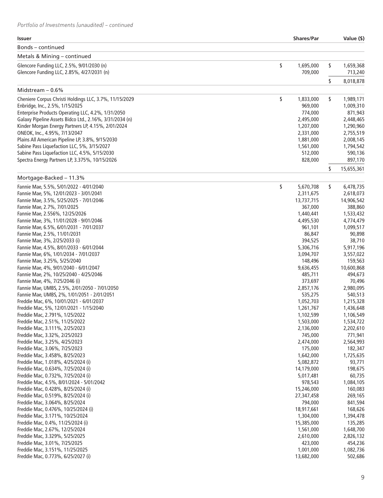| <b>Issuer</b>                                                                     | <b>Shares/Par</b>            | Value (\$)                   |
|-----------------------------------------------------------------------------------|------------------------------|------------------------------|
| Bonds - continued                                                                 |                              |                              |
| Metals & Mining – continued                                                       |                              |                              |
| Glencore Funding LLC, 2.5%, 9/01/2030 (n)                                         | \$<br>1,695,000              | \$<br>1,659,368              |
| Glencore Funding LLC, 2.85%, 4/27/2031 (n)                                        | 709,000                      | 713,240                      |
|                                                                                   |                              | \$<br>8,018,878              |
| Midstream $-0.6%$                                                                 |                              |                              |
| Cheniere Corpus Christi Holdings LLC, 3.7%, 11/15/2029                            | \$<br>1,833,000              | \$<br>1,989,171              |
| Enbridge, Inc., 2.5%, 1/15/2025                                                   | 969,000                      | 1,009,310                    |
| Enterprise Products Operating LLC, 4.2%, 1/31/2050                                | 774,000                      | 871,943                      |
| Galaxy Pipeline Assets Bidco Ltd., 2.16%, 3/31/2034 (n)                           | 2,495,000                    | 2,448,465                    |
| Kinder Morgan Energy Partners LP, 4.15%, 2/01/2024                                | 1,207,000                    | 1,290,960                    |
| ONEOK, Inc., 4.95%, 7/13/2047                                                     | 2,331,000                    | 2,755,519                    |
| Plains All American Pipeline LP, 3.8%, 9/15/2030                                  | 1,881,000                    | 2,008,145                    |
| Sabine Pass Liquefaction LLC, 5%, 3/15/2027                                       | 1,561,000                    | 1,794,542                    |
| Sabine Pass Liquefaction LLC, 4.5%, 5/15/2030                                     | 512,000                      | 590,136                      |
| Spectra Energy Partners LP, 3.375%, 10/15/2026                                    | 828,000                      | 897,170                      |
|                                                                                   |                              | \$<br>15,655,361             |
| Mortgage-Backed - 11.3%                                                           |                              |                              |
| Fannie Mae, 5.5%, 5/01/2022 - 4/01/2040<br>Fannie Mae, 5%, 12/01/2023 - 3/01/2041 | \$<br>5,670,708<br>2,311,675 | \$<br>6,478,735<br>2,618,073 |
| Fannie Mae, 3.5%, 5/25/2025 - 7/01/2046                                           | 13,737,715                   | 14,906,542                   |
| Fannie Mae, 2.7%, 7/01/2025                                                       | 367,000                      | 388,860                      |
| Fannie Mae, 2.556%, 12/25/2026                                                    | 1,440,441                    | 1,533,432                    |
| Fannie Mae, 3%, 11/01/2028 - 9/01/2046                                            | 4,495,530                    | 4,774,479                    |
| Fannie Mae, 6.5%, 6/01/2031 - 7/01/2037                                           | 961,101                      | 1,099,517                    |
| Fannie Mae, 2.5%, 11/01/2031                                                      | 86,847                       | 90,898                       |
| Fannie Mae, 3%, 2/25/2033 (i)                                                     | 394,525                      | 38,710                       |
| Fannie Mae, 4.5%, 8/01/2033 - 6/01/2044                                           | 5,306,716                    | 5,917,196                    |
| Fannie Mae, 6%, 1/01/2034 - 7/01/2037                                             | 3,094,707                    | 3,557,022                    |
| Fannie Mae, 3.25%, 5/25/2040                                                      | 148,496                      | 159,563                      |
| Fannie Mae, 4%, 9/01/2040 - 6/01/2047                                             | 9,636,455                    | 10,600,868                   |
| Fannie Mae, 2%, 10/25/2040 - 4/25/2046                                            | 485,711                      | 494,673                      |
| Fannie Mae, 4%, 7/25/2046 (i)                                                     | 373,697                      | 70,496                       |
| Fannie Mae, UMBS, 2.5%, 2/01/2050 - 7/01/2050                                     | 2,857,176                    | 2,980,095                    |
| Fannie Mae, UMBS, 2%, 1/01/2051 - 2/01/2051                                       | 535,275                      | 540,513                      |
| Freddie Mac, 6%, 10/01/2021 - 6/01/2037                                           | 1,052,703                    | 1,215,328                    |
| Freddie Mac, 5%, 12/01/2021 - 1/15/2040                                           | 1,261,767                    | 1,436,648                    |
| Freddie Mac, 2.791%, 1/25/2022                                                    | 1,102,599                    | 1,106,549                    |
| Freddie Mac, 2.51%, 11/25/2022                                                    | 1,503,000                    | 1,534,722                    |
| Freddie Mac, 3.111%, 2/25/2023                                                    | 2,136,000                    | 2,202,610                    |
| Freddie Mac, 3.32%, 2/25/2023                                                     | 745,000                      | 771,941                      |
| Freddie Mac, 3.25%, 4/25/2023                                                     | 2,474,000                    | 2,564,993                    |
| Freddie Mac, 3.06%, 7/25/2023                                                     | 175,000                      | 182,347                      |
| Freddie Mac, 3.458%, 8/25/2023                                                    | 1,642,000                    | 1,725,635                    |
| Freddie Mac, 1.018%, 4/25/2024 (i)                                                | 5,082,872                    | 93,771                       |
| Freddie Mac, 0.634%, 7/25/2024 (i)                                                | 14,179,000                   | 198,675                      |
| Freddie Mac, 0.732%, 7/25/2024 (i)                                                | 5,017,481                    | 60,735                       |
| Freddie Mac, 4.5%, 8/01/2024 - 5/01/2042                                          | 978,543                      | 1,084,105                    |
| Freddie Mac, 0.428%, 8/25/2024 (i)                                                | 15,246,000                   | 160,083                      |
| Freddie Mac, 0.519%, 8/25/2024 (i)                                                | 27,347,458                   | 269,165                      |
| Freddie Mac, 3.064%, 8/25/2024                                                    | 794,000                      | 841,594                      |
| Freddie Mac, 0.476%, 10/25/2024 (i)                                               | 18,917,661                   | 168,626                      |
| Freddie Mac, 3.171%, 10/25/2024                                                   | 1,304,000                    | 1,394,478                    |
| Freddie Mac, 0.4%, 11/25/2024 (i)                                                 | 15,385,000                   | 135,285                      |
| Freddie Mac, 2.67%, 12/25/2024                                                    | 1,561,000                    | 1,648,700                    |
| Freddie Mac, 3.329%, 5/25/2025                                                    | 2,610,000                    | 2,826,132                    |
| Freddie Mac, 3.01%, 7/25/2025                                                     | 423,000<br>1,001,000         | 454,236                      |
| Freddie Mac, 3.151%, 11/25/2025<br>Freddie Mac, 0.773%, 6/25/2027 (i)             | 13,682,000                   | 1,082,736<br>502,686         |
|                                                                                   |                              |                              |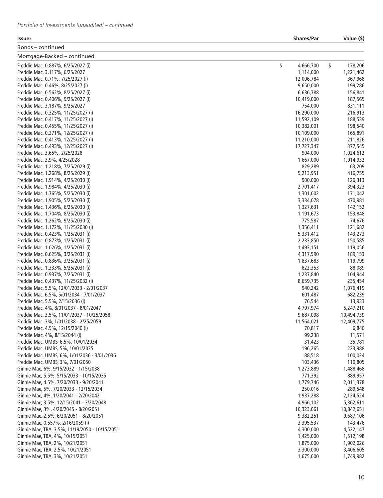| Issuer                                         | <b>Shares/Par</b> | Value (\$)    |
|------------------------------------------------|-------------------|---------------|
| Bonds – continued                              |                   |               |
| Mortgage-Backed - continued                    |                   |               |
| Freddie Mac, 0.887%, 6/25/2027 (i)             | \$<br>4,666,700   | \$<br>178,206 |
| Freddie Mac, 3.117%, 6/25/2027                 | 1,114,000         | 1,221,462     |
| Freddie Mac, 0.71%, 7/25/2027 (i)              | 12,006,784        | 367,968       |
| Freddie Mac, 0.46%, 8/25/2027 (i)              | 9,650,000         | 199,286       |
| Freddie Mac, 0.562%, 8/25/2027 (i)             | 6,636,788         | 156,841       |
| Freddie Mac, 0.406%, 9/25/2027 (i)             | 10,419,000        | 187,565       |
| Freddie Mac, 3.187%, 9/25/2027                 | 754,000           | 831,111       |
| Freddie Mac, 0.325%, 11/25/2027 (i)            | 16,290,000        | 216,913       |
| Freddie Mac, 0.417%, 11/25/2027 (i)            | 11,592,109        | 188,539       |
| Freddie Mac, 0.455%, 11/25/2027 (i)            | 10,382,001        | 198,540       |
| Freddie Mac, 0.371%, 12/25/2027 (i)            | 10,109,000        | 165,891       |
| Freddie Mac, 0.413%, 12/25/2027 (i)            | 11,210,000        | 211,826       |
| Freddie Mac, 0.493%, 12/25/2027 (i)            | 17,727,347        | 377,545       |
| Freddie Mac, 3.65%, 2/25/2028                  | 904,000           | 1,024,612     |
| Freddie Mac, 3.9%, 4/25/2028                   | 1,667,000         | 1,914,932     |
| Freddie Mac, 1.218%, 7/25/2029 (i)             | 829,289           | 63,209        |
| Freddie Mac, 1.268%, 8/25/2029 (i)             | 5,213,951         | 416,755       |
| Freddie Mac, 1.914%, 4/25/2030 (i)             | 900,000           | 126,313       |
| Freddie Mac, 1.984%, 4/25/2030 (i)             | 2,701,417         | 394,323       |
| Freddie Mac, 1.765%, 5/25/2030 (i)             | 1,301,002         | 171,042       |
| Freddie Mac, 1.905%, 5/25/2030 (i)             | 3,334,078         | 470,981       |
| Freddie Mac, 1.436%, 6/25/2030 (i)             | 1,327,631         | 142,152       |
| Freddie Mac, 1.704%, 8/25/2030 (i)             | 1,191,673         | 153,848       |
| Freddie Mac, 1.262%, 9/25/2030 (i)             | 775,587           | 74,676        |
| Freddie Mac, 1.172%, 11/25/2030 (i)            | 1,356,411         | 121,682       |
| Freddie Mac, 0.423%, 1/25/2031 (i)             | 5,331,412         | 143,273       |
| Freddie Mac, 0.873%, 1/25/2031 (i)             | 2,233,850         | 150,585       |
| Freddie Mac, 1.026%, 1/25/2031 (i)             | 1,493,151         | 119,056       |
| Freddie Mac, 0.625%, 3/25/2031 (i)             | 4,317,590         | 189,153       |
| Freddie Mac, 0.836%, 3/25/2031 (i)             | 1,837,683         | 119,799       |
| Freddie Mac, 1.333%, 5/25/2031 (i)             | 822,353           | 88,089        |
| Freddie Mac, 0.937%, 7/25/2031 (i)             | 1,237,840         | 104,944       |
| Freddie Mac, 0.437%, 11/25/2032 (i)            | 8,659,735         | 235,454       |
| Freddie Mac, 5.5%, 12/01/2033 - 2/01/2037      | 940,242           | 1,076,419     |
| Freddie Mac, 6.5%, 5/01/2034 - 7/01/2037       | 601,487           | 682,239       |
| Freddie Mac, 5.5%, 2/15/2036 (i)               | 76,544            | 13,933        |
| Freddie Mac, 4%, 8/01/2037 - 8/01/2047         | 4,797,974         | 5,247,210     |
| Freddie Mac, 3.5%, 11/01/2037 - 10/25/2058     | 9,687,098         | 10,494,739    |
| Freddie Mac, 3%, 1/01/2038 - 2/25/2059         | 11,564,021        | 12,409,775    |
| Freddie Mac, 4.5%, 12/15/2040 (i)              | 70,817            | 6,840         |
| Freddie Mac, 4%, 8/15/2044 (i)                 | 99,238            | 11,571        |
| Freddie Mac, UMBS, 6.5%, 10/01/2034            | 31,423            | 35,781        |
| Freddie Mac, UMBS, 5%, 10/01/2035              | 196,265           | 223,988       |
| Freddie Mac, UMBS, 6%, 1/01/2036 - 3/01/2036   | 88,518            | 100,024       |
| Freddie Mac, UMBS, 3%, 7/01/2050               | 103,436           | 110,805       |
| Ginnie Mae, 6%, 9/15/2032 - 1/15/2038          | 1,273,889         | 1,488,468     |
| Ginnie Mae, 5.5%, 5/15/2033 - 10/15/2035       | 771,392           | 889,957       |
| Ginnie Mae, 4.5%, 7/20/2033 - 9/20/2041        | 1,779,746         | 2,011,378     |
| Ginnie Mae, 5%, 7/20/2033 - 12/15/2034         | 250,016           | 289,548       |
| Ginnie Mae, 4%, 1/20/2041 - 2/20/2042          | 1,937,288         | 2,124,524     |
| Ginnie Mae, 3.5%, 12/15/2041 - 3/20/2048       | 4,966,102         | 5,362,611     |
| Ginnie Mae, 3%, 4/20/2045 - 8/20/2051          | 10,323,061        | 10,842,651    |
| Ginnie Mae, 2.5%, 6/20/2051 - 8/20/2051        | 9,382,251         | 9,687,106     |
| Ginnie Mae, 0.557%, 2/16/2059 (i)              | 3,395,537         | 143,476       |
| Ginnie Mae, TBA, 3.5%, 11/19/2050 - 10/15/2051 | 4,300,000         | 4,522,147     |
| Ginnie Mae, TBA, 4%, 10/15/2051                | 1,425,000         | 1,512,198     |
| Ginnie Mae, TBA, 2%, 10/21/2051                | 1,875,000         | 1,902,026     |
| Ginnie Mae, TBA, 2.5%, 10/21/2051              | 3,300,000         | 3,406,605     |
| Ginnie Mae, TBA, 3%, 10/21/2051                | 1,675,000         | 1,749,982     |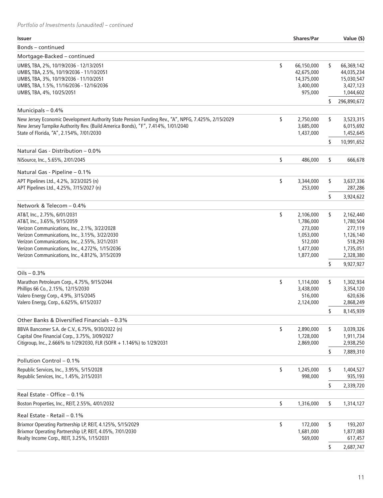| <b>Issuer</b>                                                                                                                                                            | <b>Shares/Par</b>                                         |    | Value (\$)                                          |
|--------------------------------------------------------------------------------------------------------------------------------------------------------------------------|-----------------------------------------------------------|----|-----------------------------------------------------|
| Bonds - continued                                                                                                                                                        |                                                           |    |                                                     |
| Mortgage-Backed - continued                                                                                                                                              |                                                           |    |                                                     |
| UMBS, TBA, 2%, 10/19/2036 - 12/13/2051<br>UMBS, TBA, 2.5%, 10/19/2036 - 11/10/2051<br>UMBS, TBA, 3%, 10/19/2036 - 11/10/2051<br>UMBS, TBA, 1.5%, 11/16/2036 - 12/16/2036 | \$<br>66,150,000<br>42,675,000<br>14,375,000<br>3,400,000 | \$ | 66,369,142<br>44,035,234<br>15,030,547<br>3,427,123 |
| UMBS, TBA, 4%, 10/25/2051                                                                                                                                                | 975,000                                                   |    | 1,044,602                                           |
|                                                                                                                                                                          |                                                           | \$ | 296,890,672                                         |
| Municipals - 0.4%<br>New Jersey Economic Development Authority State Pension Funding Rev., "A", NPFG, 7.425%, 2/15/2029                                                  | 2,750,000                                                 |    |                                                     |
| New Jersey Turnpike Authority Rev. (Build America Bonds), "F", 7.414%, 1/01/2040<br>State of Florida, "A", 2.154%, 7/01/2030                                             | \$<br>3,685,000<br>1,437,000                              | \$ | 3,523,315<br>6,015,692<br>1,452,645                 |
|                                                                                                                                                                          |                                                           | \$ | 10,991,652                                          |
| Natural Gas - Distribution - 0.0%                                                                                                                                        |                                                           |    |                                                     |
| NiSource, Inc., 5.65%, 2/01/2045                                                                                                                                         | \$<br>486,000                                             | \$ | 666,678                                             |
| Natural Gas - Pipeline - 0.1%                                                                                                                                            |                                                           |    |                                                     |
| APT Pipelines Ltd., 4.2%, 3/23/2025 (n)                                                                                                                                  | \$<br>3,344,000                                           | \$ | 3,637,336                                           |
| APT Pipelines Ltd., 4.25%, 7/15/2027 (n)                                                                                                                                 | 253,000                                                   |    | 287,286                                             |
|                                                                                                                                                                          |                                                           | \$ | 3,924,622                                           |
| Network & Telecom - 0.4%<br>AT&T, Inc., 2.75%, 6/01/2031                                                                                                                 | \$<br>2,106,000                                           | \$ | 2,162,440                                           |
| AT&T, Inc., 3.65%, 9/15/2059                                                                                                                                             | 1,786,000                                                 |    | 1,780,504                                           |
| Verizon Communications, Inc., 2.1%, 3/22/2028                                                                                                                            | 273,000                                                   |    | 277,119                                             |
| Verizon Communications, Inc., 3.15%, 3/22/2030                                                                                                                           | 1,053,000                                                 |    | 1,126,140                                           |
| Verizon Communications, Inc., 2.55%, 3/21/2031                                                                                                                           | 512,000                                                   |    | 518,293                                             |
| Verizon Communications, Inc., 4.272%, 1/15/2036                                                                                                                          | 1,477,000                                                 |    | 1,735,051                                           |
| Verizon Communications, Inc., 4.812%, 3/15/2039                                                                                                                          | 1,877,000                                                 | \$ | 2,328,380<br>9,927,927                              |
| $Oils - 0.3%$                                                                                                                                                            |                                                           |    |                                                     |
| Marathon Petroleum Corp., 4.75%, 9/15/2044                                                                                                                               | \$<br>1,114,000                                           | \$ | 1,302,934                                           |
| Phillips 66 Co., 2.15%, 12/15/2030                                                                                                                                       | 3,438,000                                                 |    | 3,354,120                                           |
| Valero Energy Corp., 4.9%, 3/15/2045                                                                                                                                     | 516,000                                                   |    | 620,636                                             |
| Valero Energy, Corp., 6.625%, 6/15/2037                                                                                                                                  | 2,124,000                                                 |    | 2,868,249                                           |
|                                                                                                                                                                          |                                                           | \$ | 8,145,939                                           |
| Other Banks & Diversified Financials - 0.3%                                                                                                                              |                                                           |    |                                                     |
| BBVA Bancomer S.A. de C.V., 6.75%, 9/30/2022 (n)                                                                                                                         | \$<br>2,890,000                                           | \$ | 3,039,326                                           |
| Capital One Financial Corp., 3.75%, 3/09/2027<br>Citigroup, Inc., 2.666% to 1/29/2030, FLR (SOFR + 1.146%) to 1/29/2031                                                  | 1,728,000<br>2,869,000                                    |    | 1,911,734<br>2,938,250                              |
|                                                                                                                                                                          |                                                           | \$ | 7,889,310                                           |
| Pollution Control - 0.1%                                                                                                                                                 |                                                           |    |                                                     |
| Republic Services, Inc., 3.95%, 5/15/2028                                                                                                                                | \$<br>1,245,000                                           | \$ | 1,404,527                                           |
| Republic Services, Inc., 1.45%, 2/15/2031                                                                                                                                | 998,000                                                   |    | 935,193                                             |
|                                                                                                                                                                          |                                                           | \$ | 2,339,720                                           |
| Real Estate - Office - 0.1%                                                                                                                                              |                                                           |    |                                                     |
| Boston Properties, Inc., REIT, 2.55%, 4/01/2032                                                                                                                          | \$<br>1,316,000                                           | \$ | 1,314,127                                           |
| Real Estate - Retail - 0.1%                                                                                                                                              |                                                           |    |                                                     |
| Brixmor Operating Partnership LP, REIT, 4.125%, 5/15/2029                                                                                                                | \$<br>172,000                                             | \$ | 193,207                                             |
| Brixmor Operating Partnership LP, REIT, 4.05%, 7/01/2030                                                                                                                 | 1,681,000                                                 |    | 1,877,083                                           |
| Realty Income Corp., REIT, 3.25%, 1/15/2031                                                                                                                              | 569,000                                                   |    | 617,457                                             |
|                                                                                                                                                                          |                                                           | S  | 2,687,747                                           |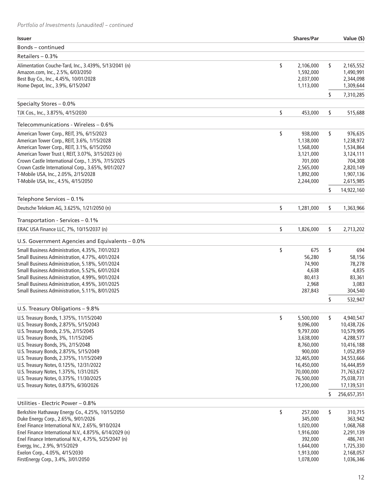| <b>Issuer</b>                                          | <b>Shares/Par</b> | Value (\$)        |
|--------------------------------------------------------|-------------------|-------------------|
| Bonds – continued                                      |                   |                   |
| Retailers - 0.3%                                       |                   |                   |
| Alimentation Couche-Tard, Inc., 3.439%, 5/13/2041 (n)  | \$<br>2,106,000   | \$<br>2,165,552   |
| Amazon.com, Inc., 2.5%, 6/03/2050                      | 1,592,000         | 1,490,991         |
| Best Buy Co., Inc., 4.45%, 10/01/2028                  | 2,037,000         | 2,344,098         |
| Home Depot, Inc., 3.9%, 6/15/2047                      | 1,113,000         | 1,309,644         |
|                                                        |                   | \$<br>7,310,285   |
| Specialty Stores - 0.0%                                |                   |                   |
| TJX Cos., Inc., 3.875%, 4/15/2030                      | \$<br>453,000     | \$<br>515,688     |
| Telecommunications - Wireless - 0.6%                   |                   |                   |
| American Tower Corp., REIT, 3%, 6/15/2023              | \$<br>938,000     | \$<br>976,635     |
| American Tower Corp., REIT, 3.6%, 1/15/2028            | 1,138,000         | 1,238,972         |
| American Tower Corp., REIT, 3.1%, 6/15/2050            | 1,568,000         | 1,534,864         |
| American Tower Trust I, REIT, 3.07%, 3/15/2023 (n)     | 3,121,000         | 3,124,111         |
| Crown Castle International Corp., 1.35%, 7/15/2025     | 701,000           | 704,308           |
| Crown Castle International Corp., 3.65%, 9/01/2027     | 2,565,000         | 2,820,149         |
| T-Mobile USA, Inc., 2.05%, 2/15/2028                   | 1,892,000         | 1,907,136         |
| T-Mobile USA, Inc., 4.5%, 4/15/2050                    | 2,244,000         | 2,615,985         |
|                                                        |                   | \$<br>14,922,160  |
| Telephone Services - 0.1%                              |                   |                   |
| Deutsche Telekom AG, 3.625%, 1/21/2050 (n)             | \$<br>1,281,000   | \$<br>1,363,966   |
| Transportation - Services - 0.1%                       |                   |                   |
| ERAC USA Finance LLC, 7%, 10/15/2037 (n)               | \$<br>1,826,000   | \$<br>2,713,202   |
| U.S. Government Agencies and Equivalents - 0.0%        |                   |                   |
| Small Business Administration, 4.35%, 7/01/2023        | \$<br>675         | \$<br>694         |
| Small Business Administration, 4.77%, 4/01/2024        | 56,280            | 58,156            |
| Small Business Administration, 5.18%, 5/01/2024        | 74,900            | 78,278            |
| Small Business Administration, 5.52%, 6/01/2024        | 4,638             | 4,835             |
| Small Business Administration, 4.99%, 9/01/2024        | 80,413            | 83,361            |
| Small Business Administration, 4.95%, 3/01/2025        | 2,968             | 3,083             |
| Small Business Administration, 5.11%, 8/01/2025        | 287,843           | 304,540           |
|                                                        |                   | \$<br>532,947     |
| U.S. Treasury Obligations - 9.8%                       |                   |                   |
| U.S. Treasury Bonds, 1.375%, 11/15/2040                | \$<br>5,500,000   | \$<br>4,940,547   |
| U.S. Treasury Bonds, 2.875%, 5/15/2043                 | 9,096,000         | 10,438,726        |
| U.S. Treasury Bonds, 2.5%, 2/15/2045                   | 9,797,000         | 10,579,995        |
| U.S. Treasury Bonds, 3%, 11/15/2045                    | 3,638,000         | 4,288,577         |
| U.S. Treasury Bonds, 3%, 2/15/2048                     | 8,760,000         | 10,416,188        |
| U.S. Treasury Bonds, 2.875%, 5/15/2049                 | 900,000           | 1,052,859         |
| U.S. Treasury Bonds, 2.375%, 11/15/2049                | 32,465,000        | 34,553,666        |
| U.S. Treasury Notes, 0.125%, 12/31/2022                | 16,450,000        | 16,444,859        |
| U.S. Treasury Notes, 1.375%, 1/31/2025                 | 70,000,000        | 71,763,672        |
| U.S. Treasury Notes, 0.375%, 11/30/2025                | 76,500,000        | 75,038,731        |
| U.S. Treasury Notes, 0.875%, 6/30/2026                 | 17,200,000        | 17,139,531        |
|                                                        |                   | \$<br>256,657,351 |
| Utilities - Electric Power - 0.8%                      |                   |                   |
| Berkshire Hathaway Energy Co., 4.25%, 10/15/2050       | \$<br>257,000     | \$<br>310,715     |
| Duke Energy Corp., 2.65%, 9/01/2026                    | 345,000           | 363,942           |
| Enel Finance International N.V., 2.65%, 9/10/2024      | 1,020,000         | 1,068,768         |
| Enel Finance International N.V., 4.875%, 6/14/2029 (n) | 1,916,000         | 2,291,139         |
| Enel Finance International N.V., 4.75%, 5/25/2047 (n)  | 392,000           | 486,741           |
| Evergy, Inc., 2.9%, 9/15/2029                          | 1,644,000         | 1,725,330         |
| Exelon Corp., 4.05%, 4/15/2030                         | 1,913,000         | 2,168,057         |
| FirstEnergy Corp., 3.4%, 3/01/2050                     | 1,078,000         | 1,036,346         |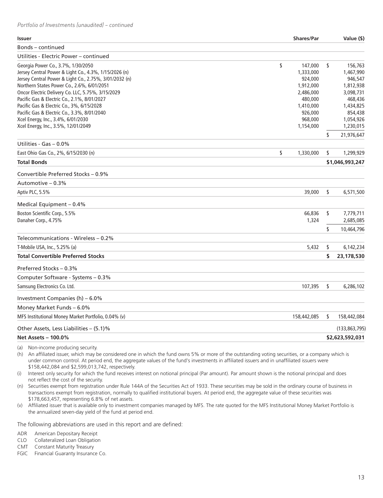| <b>Issuer</b>                                          | <b>Shares/Par</b> | Value (\$)        |
|--------------------------------------------------------|-------------------|-------------------|
| Bonds – continued                                      |                   |                   |
| Utilities - Electric Power – continued                 |                   |                   |
| Georgia Power Co., 3.7%, 1/30/2050                     | \$<br>147,000     | \$<br>156,763     |
| Jersey Central Power & Light Co., 4.3%, 1/15/2026 (n)  | 1,333,000         | 1,467,990         |
| Jersey Central Power & Light Co., 2.75%, 3/01/2032 (n) | 924,000           | 946,547           |
| Northern States Power Co., 2.6%, 6/01/2051             | 1,912,000         | 1,812,938         |
| Oncor Electric Delivery Co. LLC, 5.75%, 3/15/2029      | 2,486,000         | 3,098,731         |
| Pacific Gas & Electric Co., 2.1%, 8/01/2027            | 480,000           | 468,436           |
| Pacific Gas & Electric Co., 3%, 6/15/2028              | 1,410,000         | 1,434,825         |
| Pacific Gas & Electric Co., 3.3%, 8/01/2040            | 926,000           | 854,438           |
| Xcel Energy, Inc., 3.4%, 6/01/2030                     | 968,000           | 1,054,926         |
| Xcel Energy, Inc., 3.5%, 12/01/2049                    | 1,154,000         | 1,230,015         |
|                                                        |                   | \$<br>21,976,647  |
| Utilities - Gas $-0.0\%$                               |                   |                   |
| East Ohio Gas Co., 2%, 6/15/2030 (n)                   | \$<br>1,330,000   | \$<br>1,299,929   |
| <b>Total Bonds</b>                                     |                   | \$1,046,993,247   |
| Convertible Preferred Stocks - 0.9%                    |                   |                   |
| Automotive – 0.3%                                      |                   |                   |
| Aptiv PLC, 5.5%                                        | 39,000            | \$<br>6,571,500   |
| Medical Equipment - 0.4%                               |                   |                   |
| Boston Scientific Corp., 5.5%                          | 66,836            | \$<br>7,779,711   |
| Danaher Corp., 4.75%                                   | 1,324             | 2,685,085         |
|                                                        |                   | \$<br>10,464,796  |
| Telecommunications - Wireless – 0.2%                   |                   |                   |
| T-Mobile USA, Inc., 5.25% (a)                          | 5,432             | \$<br>6,142,234   |
| <b>Total Convertible Preferred Stocks</b>              |                   | \$<br>23,178,530  |
| Preferred Stocks - 0.3%                                |                   |                   |
| Computer Software - Systems - 0.3%                     |                   |                   |
| Samsung Electronics Co. Ltd.                           | 107,395           | \$<br>6,286,102   |
| Investment Companies (h) - 6.0%                        |                   |                   |
| Money Market Funds - 6.0%                              |                   |                   |
| MFS Institutional Money Market Portfolio, 0.04% (v)    | 158,442,085       | \$<br>158,442,084 |
| Other Assets, Less Liabilities – (5.1)%                |                   | (133, 863, 795)   |
| <b>Net Assets - 100.0%</b>                             |                   | \$2,623,592,031   |
|                                                        |                   |                   |

(a) Non-income producing security.

(h) An affiliated issuer, which may be considered one in which the fund owns 5% or more of the outstanding voting securities, or a company which is under common control. At period end, the aggregate values of the fund's investments in affiliated issuers and in unaffiliated issuers were \$158,442,084 and \$2,599,013,742, respectively.

(i) Interest only security for which the fund receives interest on notional principal (Par amount). Par amount shown is the notional principal and does not reflect the cost of the security.

(n) Securities exempt from registration under Rule 144A of the Securities Act of 1933. These securities may be sold in the ordinary course of business in transactions exempt from registration, normally to qualified institutional buyers. At period end, the aggregate value of these securities was \$178,663,457, representing 6.8% of net assets.

(v) Affiliated issuer that is available only to investment companies managed by MFS. The rate quoted for the MFS Institutional Money Market Portfolio is the annualized seven-day yield of the fund at period end.

The following abbreviations are used in this report and are defined:

ADR American Depositary Receipt

CLO Collateralized Loan Obligation

CMT Constant Maturity Treasury

FGIC Financial Guaranty Insurance Co.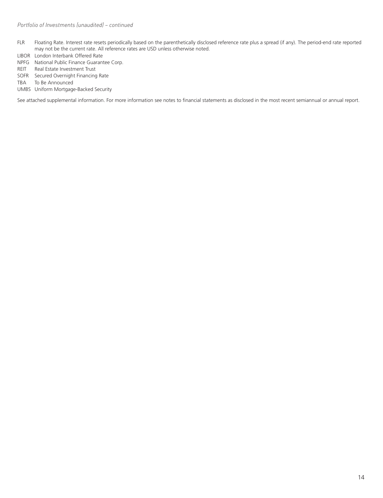- FLR Floating Rate. Interest rate resets periodically based on the parenthetically disclosed reference rate plus a spread (if any). The period-end rate reported may not be the current rate. All reference rates are USD unless otherwise noted.
- LIBOR London Interbank Offered Rate
- NPFG National Public Finance Guarantee Corp.
- REIT Real Estate Investment Trust
- SOFR Secured Overnight Financing Rate
- TBA To Be Announced
- UMBS Uniform Mortgage-Backed Security

See attached supplemental information. For more information see notes to financial statements as disclosed in the most recent semiannual or annual report.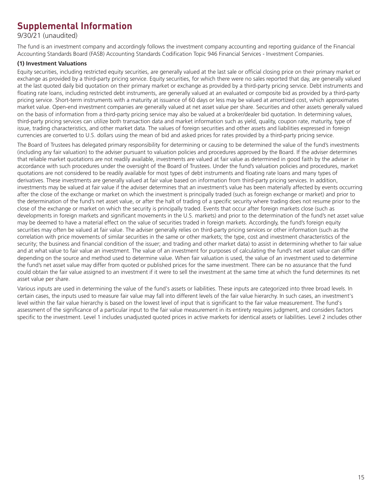## **Supplemental Information**

9/30/21 (unaudited)

The fund is an investment company and accordingly follows the investment company accounting and reporting guidance of the Financial Accounting Standards Board (FASB) Accounting Standards Codification Topic 946 Financial Services - Investment Companies.

#### **(1) Investment Valuations**

Equity securities, including restricted equity securities, are generally valued at the last sale or official closing price on their primary market or exchange as provided by a third-party pricing service. Equity securities, for which there were no sales reported that day, are generally valued at the last quoted daily bid quotation on their primary market or exchange as provided by a third-party pricing service. Debt instruments and floating rate loans, including restricted debt instruments, are generally valued at an evaluated or composite bid as provided by a third-party pricing service. Short-term instruments with a maturity at issuance of 60 days or less may be valued at amortized cost, which approximates market value. Open-end investment companies are generally valued at net asset value per share. Securities and other assets generally valued on the basis of information from a third-party pricing service may also be valued at a broker/dealer bid quotation. In determining values, third-party pricing services can utilize both transaction data and market information such as yield, quality, coupon rate, maturity, type of issue, trading characteristics, and other market data. The values of foreign securities and other assets and liabilities expressed in foreign currencies are converted to U.S. dollars using the mean of bid and asked prices for rates provided by a third-party pricing service.

The Board of Trustees has delegated primary responsibility for determining or causing to be determined the value of the fund's investments (including any fair valuation) to the adviser pursuant to valuation policies and procedures approved by the Board. If the adviser determines that reliable market quotations are not readily available, investments are valued at fair value as determined in good faith by the adviser in accordance with such procedures under the oversight of the Board of Trustees. Under the fund's valuation policies and procedures, market quotations are not considered to be readily available for most types of debt instruments and floating rate loans and many types of derivatives. These investments are generally valued at fair value based on information from third-party pricing services. In addition, investments may be valued at fair value if the adviser determines that an investment's value has been materially affected by events occurring after the close of the exchange or market on which the investment is principally traded (such as foreign exchange or market) and prior to the determination of the fund's net asset value, or after the halt of trading of a specific security where trading does not resume prior to the close of the exchange or market on which the security is principally traded. Events that occur after foreign markets close (such as developments in foreign markets and significant movements in the U.S. markets) and prior to the determination of the fund's net asset value may be deemed to have a material effect on the value of securities traded in foreign markets. Accordingly, the fund's foreign equity securities may often be valued at fair value. The adviser generally relies on third-party pricing services or other information (such as the correlation with price movements of similar securities in the same or other markets; the type, cost and investment characteristics of the security; the business and financial condition of the issuer; and trading and other market data) to assist in determining whether to fair value and at what value to fair value an investment. The value of an investment for purposes of calculating the fund's net asset value can differ depending on the source and method used to determine value. When fair valuation is used, the value of an investment used to determine the fund's net asset value may differ from quoted or published prices for the same investment. There can be no assurance that the fund could obtain the fair value assigned to an investment if it were to sell the investment at the same time at which the fund determines its net asset value per share.

Various inputs are used in determining the value of the fund's assets or liabilities. These inputs are categorized into three broad levels. In certain cases, the inputs used to measure fair value may fall into different levels of the fair value hierarchy. In such cases, an investment's level within the fair value hierarchy is based on the lowest level of input that is significant to the fair value measurement. The fund's assessment of the significance of a particular input to the fair value measurement in its entirety requires judgment, and considers factors specific to the investment. Level 1 includes unadjusted quoted prices in active markets for identical assets or liabilities. Level 2 includes other